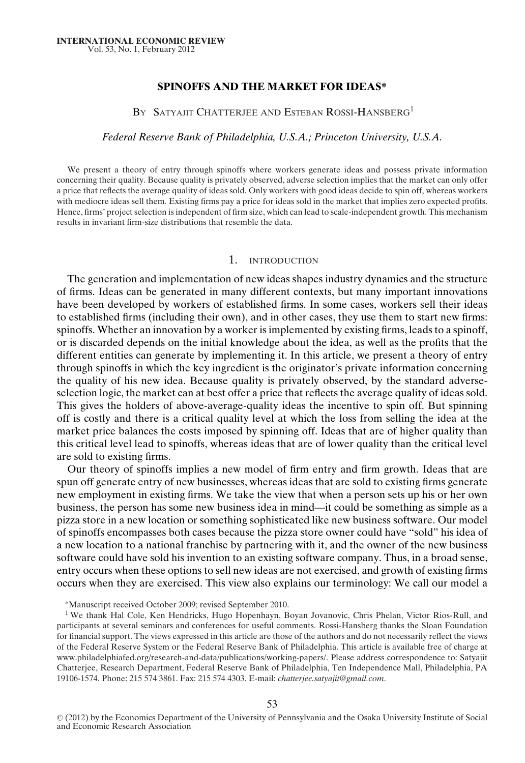# **SPINOFFS AND THE MARKET FOR IDEAS\***

# BY SATYAJIT CHATTERJEE AND ESTEBAN ROSSI-HANSBERG<sup>1</sup>

## *Federal Reserve Bank of Philadelphia, U.S.A.; Princeton University, U.S.A.*

We present a theory of entry through spinoffs where workers generate ideas and possess private information concerning their quality. Because quality is privately observed, adverse selection implies that the market can only offer a price that reflects the average quality of ideas sold. Only workers with good ideas decide to spin off, whereas workers with mediocre ideas sell them. Existing firms pay a price for ideas sold in the market that implies zero expected profits. Hence, firms' project selection is independent of firm size, which can lead to scale-independent growth. This mechanism results in invariant firm-size distributions that resemble the data.

# 1. INTRODUCTION

The generation and implementation of new ideas shapes industry dynamics and the structure of firms. Ideas can be generated in many different contexts, but many important innovations have been developed by workers of established firms. In some cases, workers sell their ideas to established firms (including their own), and in other cases, they use them to start new firms: spinoffs. Whether an innovation by a worker is implemented by existing firms, leads to a spinoff, or is discarded depends on the initial knowledge about the idea, as well as the profits that the different entities can generate by implementing it. In this article, we present a theory of entry through spinoffs in which the key ingredient is the originator's private information concerning the quality of his new idea. Because quality is privately observed, by the standard adverseselection logic, the market can at best offer a price that reflects the average quality of ideas sold. This gives the holders of above-average-quality ideas the incentive to spin off. But spinning off is costly and there is a critical quality level at which the loss from selling the idea at the market price balances the costs imposed by spinning off. Ideas that are of higher quality than this critical level lead to spinoffs, whereas ideas that are of lower quality than the critical level are sold to existing firms.

Our theory of spinoffs implies a new model of firm entry and firm growth. Ideas that are spun off generate entry of new businesses, whereas ideas that are sold to existing firms generate new employment in existing firms. We take the view that when a person sets up his or her own business, the person has some new business idea in mind—it could be something as simple as a pizza store in a new location or something sophisticated like new business software. Our model of spinoffs encompasses both cases because the pizza store owner could have "sold" his idea of a new location to a national franchise by partnering with it, and the owner of the new business software could have sold his invention to an existing software company. Thus, in a broad sense, entry occurs when these options to sell new ideas are not exercised, and growth of existing firms occurs when they are exercised. This view also explains our terminology: We call our model a

<sup>∗</sup>Manuscript received October 2009; revised September 2010.

<sup>1</sup> We thank Hal Cole, Ken Hendricks, Hugo Hopenhayn, Boyan Jovanovic, Chris Phelan, Victor Rios-Rull, and participants at several seminars and conferences for useful comments. Rossi-Hansberg thanks the Sloan Foundation for financial support. The views expressed in this article are those of the authors and do not necessarily reflect the views of the Federal Reserve System or the Federal Reserve Bank of Philadelphia. This article is available free of charge at www.philadelphiafed.org/research-and-data/publications/working-papers/. Please address correspondence to: Satyajit Chatterjee, Research Department, Federal Reserve Bank of Philadelphia, Ten Independence Mall, Philadelphia, PA 19106-1574. Phone: 215 574 3861. Fax: 215 574 4303. E-mail: *chatterjee.satyajit@gmail.com*.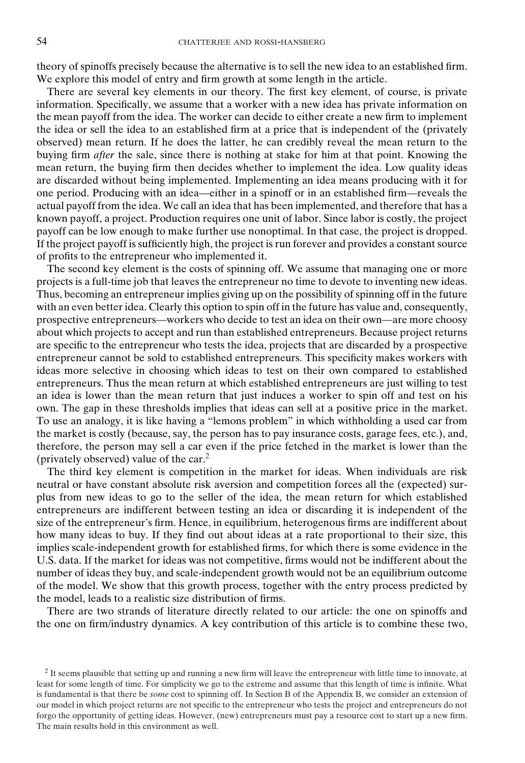theory of spinoffs precisely because the alternative is to sell the new idea to an established firm. We explore this model of entry and firm growth at some length in the article.

There are several key elements in our theory. The first key element, of course, is private information. Specifically, we assume that a worker with a new idea has private information on the mean payoff from the idea. The worker can decide to either create a new firm to implement the idea or sell the idea to an established firm at a price that is independent of the (privately observed) mean return. If he does the latter, he can credibly reveal the mean return to the buying firm *after* the sale, since there is nothing at stake for him at that point. Knowing the mean return, the buying firm then decides whether to implement the idea. Low quality ideas are discarded without being implemented. Implementing an idea means producing with it for one period. Producing with an idea—either in a spinoff or in an established firm—reveals the actual payoff from the idea. We call an idea that has been implemented, and therefore that has a known payoff, a project. Production requires one unit of labor. Since labor is costly, the project payoff can be low enough to make further use nonoptimal. In that case, the project is dropped. If the project payoff is sufficiently high, the project is run forever and provides a constant source of profits to the entrepreneur who implemented it.

The second key element is the costs of spinning off. We assume that managing one or more projects is a full-time job that leaves the entrepreneur no time to devote to inventing new ideas. Thus, becoming an entrepreneur implies giving up on the possibility of spinning off in the future with an even better idea. Clearly this option to spin off in the future has value and, consequently, prospective entrepreneurs—workers who decide to test an idea on their own—are more choosy about which projects to accept and run than established entrepreneurs. Because project returns are specific to the entrepreneur who tests the idea, projects that are discarded by a prospective entrepreneur cannot be sold to established entrepreneurs. This specificity makes workers with ideas more selective in choosing which ideas to test on their own compared to established entrepreneurs. Thus the mean return at which established entrepreneurs are just willing to test an idea is lower than the mean return that just induces a worker to spin off and test on his own. The gap in these thresholds implies that ideas can sell at a positive price in the market. To use an analogy, it is like having a "lemons problem" in which withholding a used car from the market is costly (because, say, the person has to pay insurance costs, garage fees, etc.), and, therefore, the person may sell a car even if the price fetched in the market is lower than the (privately observed) value of the car.<sup>2</sup>

The third key element is competition in the market for ideas. When individuals are risk neutral or have constant absolute risk aversion and competition forces all the (expected) surplus from new ideas to go to the seller of the idea, the mean return for which established entrepreneurs are indifferent between testing an idea or discarding it is independent of the size of the entrepreneur's firm. Hence, in equilibrium, heterogenous firms are indifferent about how many ideas to buy. If they find out about ideas at a rate proportional to their size, this implies scale-independent growth for established firms, for which there is some evidence in the U.S. data. If the market for ideas was not competitive, firms would not be indifferent about the number of ideas they buy, and scale-independent growth would not be an equilibrium outcome of the model. We show that this growth process, together with the entry process predicted by the model, leads to a realistic size distribution of firms.

There are two strands of literature directly related to our article: the one on spinoffs and the one on firm/industry dynamics. A key contribution of this article is to combine these two,

<sup>2</sup> It seems plausible that setting up and running a new firm will leave the entrepreneur with little time to innovate, at least for some length of time. For simplicity we go to the extreme and assume that this length of time is infinite. What is fundamental is that there be *some* cost to spinning off. In Section B of the Appendix B, we consider an extension of our model in which project returns are not specific to the entrepreneur who tests the project and entrepreneurs do not forgo the opportunity of getting ideas. However, (new) entrepreneurs must pay a resource cost to start up a new firm. The main results hold in this environment as well.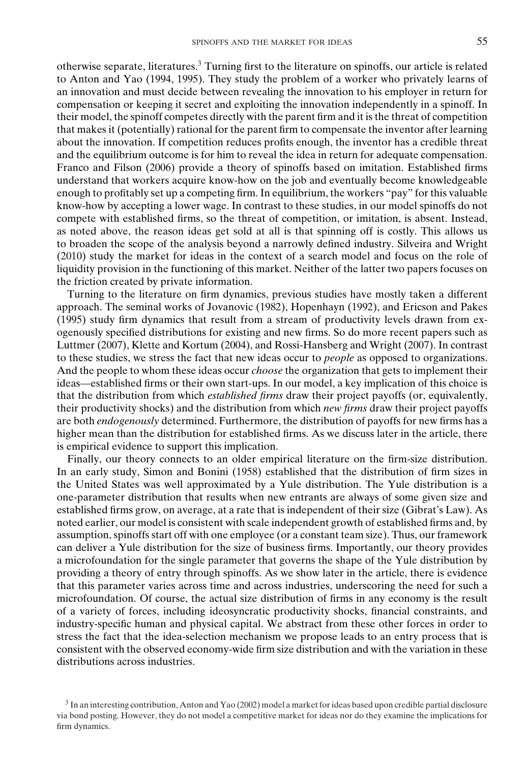otherwise separate, literatures.3 Turning first to the literature on spinoffs, our article is related to Anton and Yao (1994, 1995). They study the problem of a worker who privately learns of an innovation and must decide between revealing the innovation to his employer in return for compensation or keeping it secret and exploiting the innovation independently in a spinoff. In their model, the spinoff competes directly with the parent firm and it is the threat of competition that makes it (potentially) rational for the parent firm to compensate the inventor after learning about the innovation. If competition reduces profits enough, the inventor has a credible threat and the equilibrium outcome is for him to reveal the idea in return for adequate compensation. Franco and Filson (2006) provide a theory of spinoffs based on imitation. Established firms understand that workers acquire know-how on the job and eventually become knowledgeable enough to profitably set up a competing firm. In equilibrium, the workers "pay" for this valuable know-how by accepting a lower wage. In contrast to these studies, in our model spinoffs do not compete with established firms, so the threat of competition, or imitation, is absent. Instead, as noted above, the reason ideas get sold at all is that spinning off is costly. This allows us to broaden the scope of the analysis beyond a narrowly defined industry. Silveira and Wright (2010) study the market for ideas in the context of a search model and focus on the role of liquidity provision in the functioning of this market. Neither of the latter two papers focuses on the friction created by private information.

Turning to the literature on firm dynamics, previous studies have mostly taken a different approach. The seminal works of Jovanovic (1982), Hopenhayn (1992), and Ericson and Pakes (1995) study firm dynamics that result from a stream of productivity levels drawn from exogenously specified distributions for existing and new firms. So do more recent papers such as Luttmer (2007), Klette and Kortum (2004), and Rossi-Hansberg and Wright (2007). In contrast to these studies, we stress the fact that new ideas occur to *people* as opposed to organizations. And the people to whom these ideas occur *choose* the organization that gets to implement their ideas—established firms or their own start-ups. In our model, a key implication of this choice is that the distribution from which *established firms* draw their project payoffs (or, equivalently, their productivity shocks) and the distribution from which *new firms* draw their project payoffs are both *endogenously* determined. Furthermore, the distribution of payoffs for new firms has a higher mean than the distribution for established firms. As we discuss later in the article, there is empirical evidence to support this implication.

Finally, our theory connects to an older empirical literature on the firm-size distribution. In an early study, Simon and Bonini (1958) established that the distribution of firm sizes in the United States was well approximated by a Yule distribution. The Yule distribution is a one-parameter distribution that results when new entrants are always of some given size and established firms grow, on average, at a rate that is independent of their size (Gibrat's Law). As noted earlier, our model is consistent with scale independent growth of established firms and, by assumption, spinoffs start off with one employee (or a constant team size). Thus, our framework can deliver a Yule distribution for the size of business firms. Importantly, our theory provides a microfoundation for the single parameter that governs the shape of the Yule distribution by providing a theory of entry through spinoffs. As we show later in the article, there is evidence that this parameter varies across time and across industries, underscoring the need for such a microfoundation. Of course, the actual size distribution of firms in any economy is the result of a variety of forces, including ideosyncratic productivity shocks, financial constraints, and industry-specific human and physical capital. We abstract from these other forces in order to stress the fact that the idea-selection mechanism we propose leads to an entry process that is consistent with the observed economy-wide firm size distribution and with the variation in these distributions across industries.

<sup>3</sup> In an interesting contribution, Anton and Yao (2002) model a market for ideas based upon credible partial disclosure via bond posting. However, they do not model a competitive market for ideas nor do they examine the implications for firm dynamics.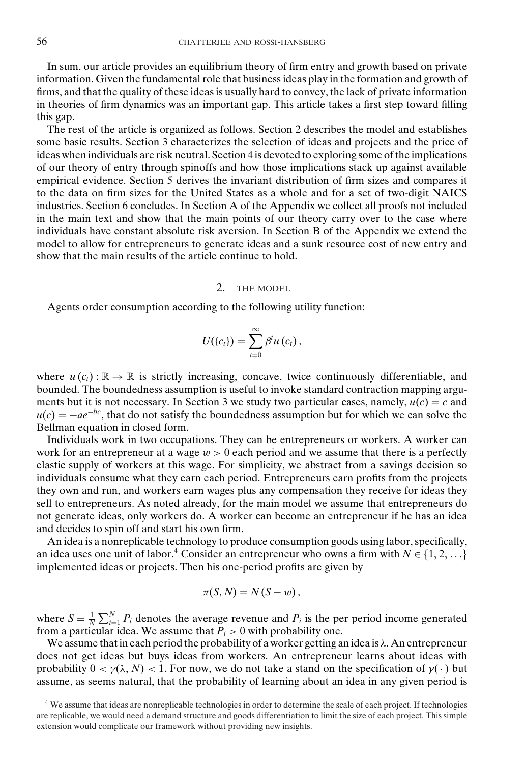In sum, our article provides an equilibrium theory of firm entry and growth based on private information. Given the fundamental role that business ideas play in the formation and growth of firms, and that the quality of these ideas is usually hard to convey, the lack of private information in theories of firm dynamics was an important gap. This article takes a first step toward filling this gap.

The rest of the article is organized as follows. Section 2 describes the model and establishes some basic results. Section 3 characterizes the selection of ideas and projects and the price of ideas when individuals are risk neutral. Section 4 is devoted to exploring some of the implications of our theory of entry through spinoffs and how those implications stack up against available empirical evidence. Section 5 derives the invariant distribution of firm sizes and compares it to the data on firm sizes for the United States as a whole and for a set of two-digit NAICS industries. Section 6 concludes. In Section A of the Appendix we collect all proofs not included in the main text and show that the main points of our theory carry over to the case where individuals have constant absolute risk aversion. In Section B of the Appendix we extend the model to allow for entrepreneurs to generate ideas and a sunk resource cost of new entry and show that the main results of the article continue to hold.

# 2. THE MODEL

Agents order consumption according to the following utility function:

$$
U(\{c_t\}) = \sum_{t=0}^{\infty} \beta^t u(c_t),
$$

where  $u(c_t): \mathbb{R} \to \mathbb{R}$  is strictly increasing, concave, twice continuously differentiable, and bounded. The boundedness assumption is useful to invoke standard contraction mapping arguments but it is not necessary. In Section 3 we study two particular cases, namely,  $u(c) = c$  and  $u(c) = -ae^{-bc}$ , that do not satisfy the boundedness assumption but for which we can solve the Bellman equation in closed form.

Individuals work in two occupations. They can be entrepreneurs or workers. A worker can work for an entrepreneur at a wage  $w > 0$  each period and we assume that there is a perfectly elastic supply of workers at this wage. For simplicity, we abstract from a savings decision so individuals consume what they earn each period. Entrepreneurs earn profits from the projects they own and run, and workers earn wages plus any compensation they receive for ideas they sell to entrepreneurs. As noted already, for the main model we assume that entrepreneurs do not generate ideas, only workers do. A worker can become an entrepreneur if he has an idea and decides to spin off and start his own firm.

An idea is a nonreplicable technology to produce consumption goods using labor, specifically, an idea uses one unit of labor.<sup>4</sup> Consider an entrepreneur who owns a firm with  $N \in \{1, 2, ...\}$ implemented ideas or projects. Then his one-period profits are given by

$$
\pi(S, N) = N(S - w),
$$

where  $S = \frac{1}{N} \sum_{i=1}^{N} P_i$  denotes the average revenue and  $P_i$  is the per period income generated from a particular idea. We assume that  $P_i > 0$  with probability one.

We assume that in each period the probability of a worker getting an idea is  $\lambda$ . An entrepreneur does not get ideas but buys ideas from workers. An entrepreneur learns about ideas with probability  $0 < \gamma(\lambda, N) < 1$ . For now, we do not take a stand on the specification of  $\gamma(\cdot)$  but assume, as seems natural, that the probability of learning about an idea in any given period is

<sup>4</sup> We assume that ideas are nonreplicable technologies in order to determine the scale of each project. If technologies are replicable, we would need a demand structure and goods differentiation to limit the size of each project. This simple extension would complicate our framework without providing new insights.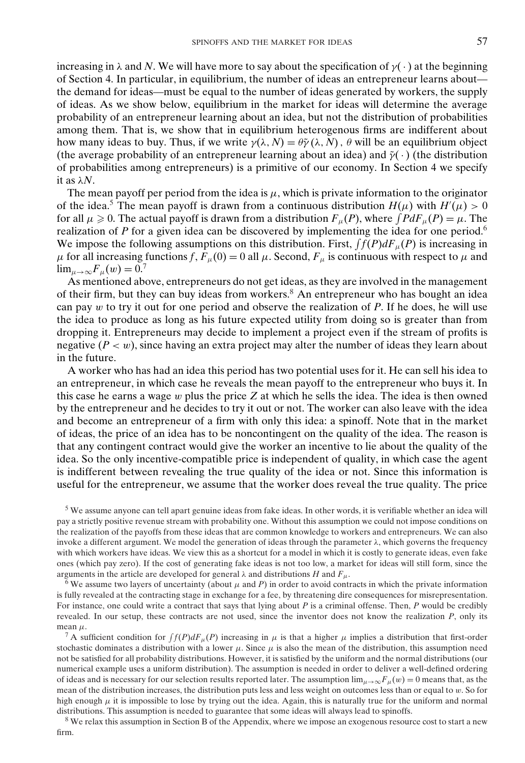increasing in  $\lambda$  and *N*. We will have more to say about the specification of  $\gamma(\cdot)$  at the beginning of Section 4. In particular, in equilibrium, the number of ideas an entrepreneur learns about the demand for ideas—must be equal to the number of ideas generated by workers, the supply of ideas. As we show below, equilibrium in the market for ideas will determine the average probability of an entrepreneur learning about an idea, but not the distribution of probabilities among them. That is, we show that in equilibrium heterogenous firms are indifferent about how many ideas to buy. Thus, if we write  $\gamma(\lambda, N) = \theta \tilde{\gamma}(\lambda, N)$ ,  $\theta$  will be an equilibrium object (the average probability of an entrepreneur learning about an idea) and  $\tilde{\gamma}(\cdot)$  (the distribution of probabilities among entrepreneurs) is a primitive of our economy. In Section 4 we specify it as  $\lambda N$ .

The mean payoff per period from the idea is  $\mu$ , which is private information to the originator of the idea.<sup>5</sup> The mean payoff is drawn from a continuous distribution  $H(\mu)$  with  $H'(\mu) > 0$ for all  $\mu \geq 0$ . The actual payoff is drawn from a distribution  $F_{\mu}(P)$ , where  $\int P dF_{\mu}(P) = \mu$ . The realization of *P* for a given idea can be discovered by implementing the idea for one period.<sup>6</sup> We impose the following assumptions on this distribution. First,  $\int f(P) dF_{\mu}(P)$  is increasing in  $\mu$  for all increasing functions *f*,  $F_\mu(0) = 0$  all  $\mu$ . Second,  $F_\mu$  is continuous with respect to  $\mu$  and  $\lim_{u\to\infty}F_u(w)=0.7$ 

As mentioned above, entrepreneurs do not get ideas, as they are involved in the management of their firm, but they can buy ideas from workers.<sup>8</sup> An entrepreneur who has bought an idea can pay w to try it out for one period and observe the realization of *P*. If he does, he will use the idea to produce as long as his future expected utility from doing so is greater than from dropping it. Entrepreneurs may decide to implement a project even if the stream of profits is negative  $(P < w)$ , since having an extra project may alter the number of ideas they learn about in the future.

A worker who has had an idea this period has two potential uses for it. He can sell his idea to an entrepreneur, in which case he reveals the mean payoff to the entrepreneur who buys it. In this case he earns a wage w plus the price *Z* at which he sells the idea. The idea is then owned by the entrepreneur and he decides to try it out or not. The worker can also leave with the idea and become an entrepreneur of a firm with only this idea: a spinoff. Note that in the market of ideas, the price of an idea has to be noncontingent on the quality of the idea. The reason is that any contingent contract would give the worker an incentive to lie about the quality of the idea. So the only incentive-compatible price is independent of quality, in which case the agent is indifferent between revealing the true quality of the idea or not. Since this information is useful for the entrepreneur, we assume that the worker does reveal the true quality. The price

<sup>5</sup> We assume anyone can tell apart genuine ideas from fake ideas. In other words, it is verifiable whether an idea will pay a strictly positive revenue stream with probability one. Without this assumption we could not impose conditions on the realization of the payoffs from these ideas that are common knowledge to workers and entrepreneurs. We can also invoke a different argument. We model the generation of ideas through the parameter  $\lambda$ , which governs the frequency with which workers have ideas. We view this as a shortcut for a model in which it is costly to generate ideas, even fake ones (which pay zero). If the cost of generating fake ideas is not too low, a market for ideas will still form, since the arguments in the article are developed for general  $\lambda$  and distributions *H* and  $F_{\mu}$ .<br><sup>6</sup> We assume two layers of uncertainty (about  $\mu$  and *P*) in order to avoid contracts in which the private information

is fully revealed at the contracting stage in exchange for a fee, by threatening dire consequences for misrepresentation. For instance, one could write a contract that says that lying about *P* is a criminal offense. Then, *P* would be credibly revealed. In our setup, these contracts are not used, since the inventor does not know the realization *P*, only its mean  $\mu$ .

<sup>7</sup> A sufficient condition for  $\int f(P) dF_{\mu}(P)$  increasing in  $\mu$  is that a higher  $\mu$  implies a distribution that first-order stochastic dominates a distribution with a lower  $\mu$ . Since  $\mu$  is also the mean of the distribution, this assumption need not be satisfied for all probability distributions. However, it is satisfied by the uniform and the normal distributions (our numerical example uses a uniform distribution). The assumption is needed in order to deliver a well-defined ordering of ideas and is necessary for our selection results reported later. The assumption  $\lim_{\mu\to\infty}F_\mu(w)=0$  means that, as the mean of the distribution increases, the distribution puts less and less weight on outcomes less than or equal to w. So for high enough  $\mu$  it is impossible to lose by trying out the idea. Again, this is naturally true for the uniform and normal distributions. This assumption is needed to guarantee that some ideas will always lead to spinoffs.

<sup>8</sup> We relax this assumption in Section B of the Appendix, where we impose an exogenous resource cost to start a new firm.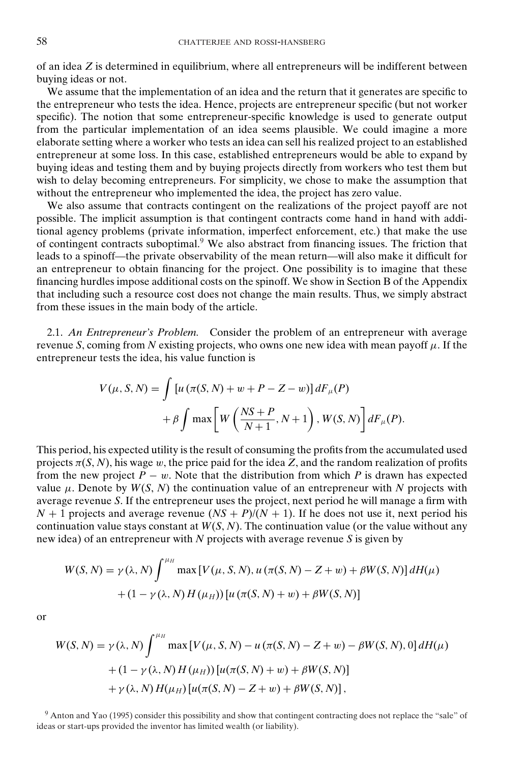of an idea *Z* is determined in equilibrium, where all entrepreneurs will be indifferent between buying ideas or not.

We assume that the implementation of an idea and the return that it generates are specific to the entrepreneur who tests the idea. Hence, projects are entrepreneur specific (but not worker specific). The notion that some entrepreneur-specific knowledge is used to generate output from the particular implementation of an idea seems plausible. We could imagine a more elaborate setting where a worker who tests an idea can sell his realized project to an established entrepreneur at some loss. In this case, established entrepreneurs would be able to expand by buying ideas and testing them and by buying projects directly from workers who test them but wish to delay becoming entrepreneurs. For simplicity, we chose to make the assumption that without the entrepreneur who implemented the idea, the project has zero value.

We also assume that contracts contingent on the realizations of the project payoff are not possible. The implicit assumption is that contingent contracts come hand in hand with additional agency problems (private information, imperfect enforcement, etc.) that make the use of contingent contracts suboptimal.<sup>9</sup> We also abstract from financing issues. The friction that leads to a spinoff—the private observability of the mean return—will also make it difficult for an entrepreneur to obtain financing for the project. One possibility is to imagine that these financing hurdles impose additional costs on the spinoff. We show in Section B of the Appendix that including such a resource cost does not change the main results. Thus, we simply abstract from these issues in the main body of the article.

2.1. *An Entrepreneur's Problem.* Consider the problem of an entrepreneur with average revenue *S*, coming from *N* existing projects, who owns one new idea with mean payoff  $\mu$ . If the entrepreneur tests the idea, his value function is

$$
V(\mu, S, N) = \int \left[ u \left( \pi(S, N) + w + P - Z - w \right) \right] dF_{\mu}(P) + \beta \int \max \left[ W \left( \frac{NS + P}{N + 1}, N + 1 \right), W(S, N) \right] dF_{\mu}(P).
$$

This period, his expected utility is the result of consuming the profits from the accumulated used projects  $\pi(S, N)$ , his wage w, the price paid for the idea Z, and the random realization of profits from the new project  $\overline{P} - w$ . Note that the distribution from which *P* is drawn has expected value  $\mu$ . Denote by  $W(S, N)$  the continuation value of an entrepreneur with N projects with average revenue *S*. If the entrepreneur uses the project, next period he will manage a firm with  $N + 1$  projects and average revenue  $(NS + P)/(N + 1)$ . If he does not use it, next period his continuation value stays constant at  $W(S, N)$ . The continuation value (or the value without any new idea) of an entrepreneur with *N* projects with average revenue *S* is given by

$$
W(S, N) = \gamma(\lambda, N) \int^{\mu_H} \max [V(\mu, S, N), u(\pi(S, N) - Z + w) + \beta W(S, N)] dH(\mu)
$$
  
+ (1 - \gamma(\lambda, N) H(\mu\_H)) [u(\pi(S, N) + w) + \beta W(S, N)]

or

$$
W(S, N) = \gamma(\lambda, N) \int^{\mu_H} \max [V(\mu, S, N) - u(\pi(S, N) - Z + w) - \beta W(S, N), 0] dH(\mu)
$$
  
+ (1 - \gamma(\lambda, N) H(\mu\_H)) [u(\pi(S, N) + w) + \beta W(S, N)]  
+ \gamma(\lambda, N) H(\mu\_H) [u(\pi(S, N) - Z + w) + \beta W(S, N)],

<sup>9</sup> Anton and Yao (1995) consider this possibility and show that contingent contracting does not replace the "sale" of ideas or start-ups provided the inventor has limited wealth (or liability).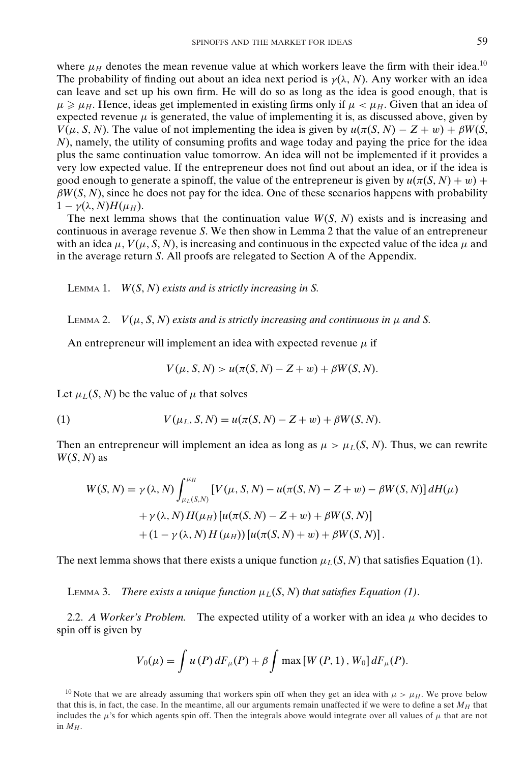where  $\mu$ <sub>H</sub> denotes the mean revenue value at which workers leave the firm with their idea.<sup>10</sup> The probability of finding out about an idea next period is  $\gamma(\lambda, N)$ . Any worker with an idea can leave and set up his own firm. He will do so as long as the idea is good enough, that is  $\mu \ge \mu_H$ . Hence, ideas get implemented in existing firms only if  $\mu < \mu_H$ . Given that an idea of expected revenue  $\mu$  is generated, the value of implementing it is, as discussed above, given by *V*( $\mu$ , *S*, *N*). The value of not implementing the idea is given by  $u(\pi(S, N) - Z + w) + \beta W(S,$ *N*), namely, the utility of consuming profits and wage today and paying the price for the idea plus the same continuation value tomorrow. An idea will not be implemented if it provides a very low expected value. If the entrepreneur does not find out about an idea, or if the idea is good enough to generate a spinoff, the value of the entrepreneur is given by  $u(\pi(S, N) + w)$  +  $\beta W(S, N)$ , since he does not pay for the idea. One of these scenarios happens with probability  $1 - \gamma(\lambda, N)H(\mu_H)$ .

The next lemma shows that the continuation value *W*(*S*, *N*) exists and is increasing and continuous in average revenue *S*. We then show in Lemma 2 that the value of an entrepreneur with an idea  $\mu$ ,  $V(\mu, S, N)$ , is increasing and continuous in the expected value of the idea  $\mu$  and in the average return *S*. All proofs are relegated to Section A of the Appendix.

LEMMA 1. *W*(*S*, *N*) *exists and is strictly increasing in S.*

LEMMA 2. *V*( $\mu$ , *S*, *N*) *exists and is strictly increasing and continuous in*  $\mu$  *and S*.

An entrepreneur will implement an idea with expected revenue  $\mu$  if

$$
V(\mu, S, N) > u(\pi(S, N) - Z + w) + \beta W(S, N).
$$

Let  $\mu_L(S, N)$  be the value of  $\mu$  that solves

(1) 
$$
V(\mu_L, S, N) = u(\pi(S, N) - Z + w) + \beta W(S, N).
$$

Then an entrepreneur will implement an idea as long as  $\mu > \mu_L(S, N)$ . Thus, we can rewrite  $W(S, N)$  as

$$
W(S, N) = \gamma(\lambda, N) \int_{\mu_L(S, N)}^{\mu_H} [V(\mu, S, N) - u(\pi(S, N) - Z + w) - \beta W(S, N)] dH(\mu)
$$
  
+  $\gamma(\lambda, N) H(\mu_H) [u(\pi(S, N) - Z + w) + \beta W(S, N)]$   
+  $(1 - \gamma(\lambda, N) H(\mu_H)) [u(\pi(S, N) + w) + \beta W(S, N)].$ 

The next lemma shows that there exists a unique function  $\mu_L(S, N)$  that satisfies Equation (1).

LEMMA 3. *There exists a unique function*  $\mu_L(S, N)$  *that satisfies Equation* (1).

2.2. *A Worker's Problem.* The expected utility of a worker with an idea  $\mu$  who decides to spin off is given by

$$
V_0(\mu) = \int u(P) dF_{\mu}(P) + \beta \int \max [W(P, 1), W_0] dF_{\mu}(P).
$$

<sup>10</sup> Note that we are already assuming that workers spin off when they get an idea with  $\mu > \mu_H$ . We prove below that this is, in fact, the case. In the meantime, all our arguments remain unaffected if we were to define a set  $M_H$  that includes the  $\mu$ 's for which agents spin off. Then the integrals above would integrate over all values of  $\mu$  that are not in  $M_H$ .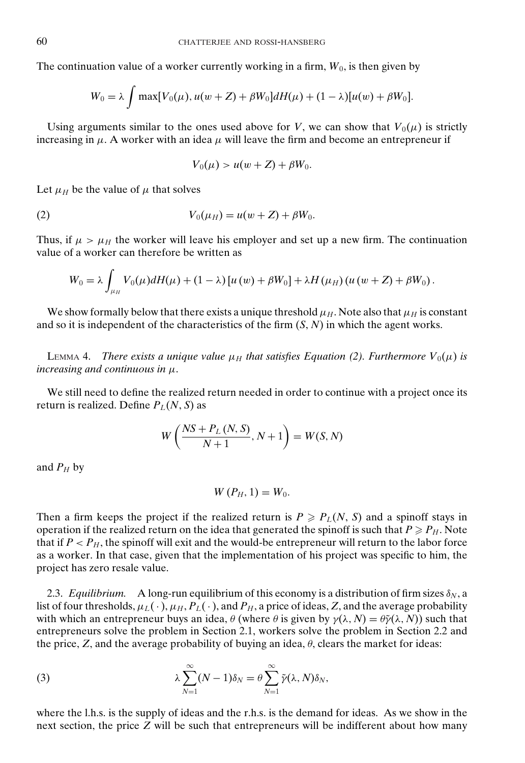The continuation value of a worker currently working in a firm,  $W_0$ , is then given by

$$
W_0 = \lambda \int \max[V_0(\mu), u(w+Z) + \beta W_0] dH(\mu) + (1-\lambda)[u(w) + \beta W_0].
$$

Using arguments similar to the ones used above for *V*, we can show that  $V_0(\mu)$  is strictly increasing in  $\mu$ . A worker with an idea  $\mu$  will leave the firm and become an entrepreneur if

$$
V_0(\mu) > u(w+Z) + \beta W_0.
$$

Let  $\mu$ <sub>H</sub> be the value of  $\mu$  that solves

(2) 
$$
V_0(\mu_H) = u(w + Z) + \beta W_0.
$$

Thus, if  $\mu > \mu_H$  the worker will leave his employer and set up a new firm. The continuation value of a worker can therefore be written as

$$
W_0 = \lambda \int_{\mu_H} V_0(\mu) dH(\mu) + (1-\lambda) [u(w) + \beta W_0] + \lambda H(\mu_H) (u(w+Z) + \beta W_0).
$$

We show formally below that there exists a unique threshold  $\mu_H$ . Note also that  $\mu_H$  is constant and so it is independent of the characteristics of the firm (*S*, *N*) in which the agent works.

LEMMA 4. *There exists a unique value*  $\mu_H$  *that satisfies Equation (2). Furthermore*  $V_0(\mu)$  *is increasing and continuous in* μ.

We still need to define the realized return needed in order to continue with a project once its return is realized. Define  $P_L(N, S)$  as

$$
W\left(\frac{NS+P_L\left(N,S\right)}{N+1}, N+1\right) = W(S, N)
$$

and  $P_H$  by

$$
W(P_H, 1) = W_0.
$$

Then a firm keeps the project if the realized return is  $P \ge P_L(N, S)$  and a spinoff stays in operation if the realized return on the idea that generated the spinoff is such that  $P \geqslant P_H$ . Note that if  $P < P_H$ , the spinoff will exit and the would-be entrepreneur will return to the labor force as a worker. In that case, given that the implementation of his project was specific to him, the project has zero resale value.

2.3. *Equilibrium.* A long-run equilibrium of this economy is a distribution of firm sizes  $\delta_N$ , a list of four thresholds,  $\mu_L(\cdot)$ ,  $\mu_H$ ,  $P_L(\cdot)$ , and  $P_H$ , a price of ideas, *Z*, and the average probability with which an entrepreneur buys an idea,  $\theta$  (where  $\theta$  is given by  $\gamma(\lambda, N) = \theta \tilde{\gamma}(\lambda, N)$ ) such that entrepreneurs solve the problem in Section 2.1, workers solve the problem in Section 2.2 and the price,  $Z$ , and the average probability of buying an idea,  $\theta$ , clears the market for ideas:

(3) 
$$
\lambda \sum_{N=1}^{\infty} (N-1) \delta_N = \theta \sum_{N=1}^{\infty} \tilde{\gamma}(\lambda, N) \delta_N,
$$

where the l.h.s. is the supply of ideas and the r.h.s. is the demand for ideas. As we show in the next section, the price *Z* will be such that entrepreneurs will be indifferent about how many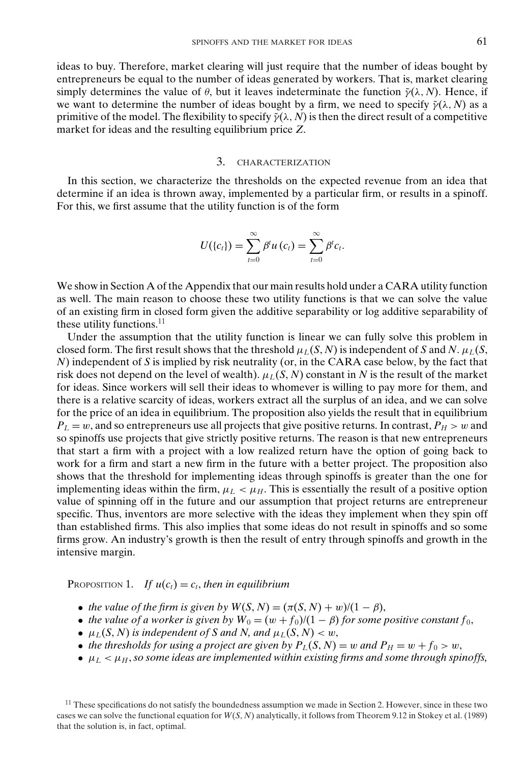ideas to buy. Therefore, market clearing will just require that the number of ideas bought by entrepreneurs be equal to the number of ideas generated by workers. That is, market clearing simply determines the value of  $\theta$ , but it leaves indeterminate the function  $\tilde{\gamma}(\lambda, N)$ . Hence, if we want to determine the number of ideas bought by a firm, we need to specify  $\tilde{\gamma}(\lambda, N)$  as a primitive of the model. The flexibility to specify  $\tilde{\gamma}(\lambda, N)$  is then the direct result of a competitive market for ideas and the resulting equilibrium price *Z*.

# 3. CHARACTERIZATION

In this section, we characterize the thresholds on the expected revenue from an idea that determine if an idea is thrown away, implemented by a particular firm, or results in a spinoff. For this, we first assume that the utility function is of the form

$$
U(\lbrace c_t \rbrace) = \sum_{t=0}^{\infty} \beta^t u(c_t) = \sum_{t=0}^{\infty} \beta^t c_t.
$$

We show in Section A of the Appendix that our main results hold under a CARA utility function as well. The main reason to choose these two utility functions is that we can solve the value of an existing firm in closed form given the additive separability or log additive separability of these utility functions. $11$ 

Under the assumption that the utility function is linear we can fully solve this problem in closed form. The first result shows that the threshold  $\mu_L(S, N)$  is independent of *S* and *N*.  $\mu_L(S, N)$ *N*) independent of *S* is implied by risk neutrality (or, in the CARA case below, by the fact that risk does not depend on the level of wealth).  $\mu_L(S, N)$  constant in N is the result of the market for ideas. Since workers will sell their ideas to whomever is willing to pay more for them, and there is a relative scarcity of ideas, workers extract all the surplus of an idea, and we can solve for the price of an idea in equilibrium. The proposition also yields the result that in equilibrium  $P_L = w$ , and so entrepreneurs use all projects that give positive returns. In contrast,  $P_H > w$  and so spinoffs use projects that give strictly positive returns. The reason is that new entrepreneurs that start a firm with a project with a low realized return have the option of going back to work for a firm and start a new firm in the future with a better project. The proposition also shows that the threshold for implementing ideas through spinoffs is greater than the one for implementing ideas within the firm,  $\mu_L < \mu_H$ . This is essentially the result of a positive option value of spinning off in the future and our assumption that project returns are entrepreneur specific. Thus, inventors are more selective with the ideas they implement when they spin off than established firms. This also implies that some ideas do not result in spinoffs and so some firms grow. An industry's growth is then the result of entry through spinoffs and growth in the intensive margin.

PROPOSITION 1. *If*  $u(c_t) = c_t$ , *then in equilibrium* 

- *the value of the firm is given by*  $W(S, N) = (\pi(S, N) + w)/(1 \beta)$ ,
- *the value of a worker is given by*  $W_0 = (w + f_0)/(1 \beta)$  *for some positive constant*  $f_0$ *,*
- $\mu_L(S, N)$  *is independent of S and N, and*  $\mu_L(S, N) < w$ ,
- *the thresholds for using a project are given by*  $P_L(S, N) = w$  *and*  $P_H = w + f_0 > w$ ,
- $\mu_L < \mu_H$ , so some ideas are implemented within existing firms and some through spinoffs,

 $11$  These specifications do not satisfy the boundedness assumption we made in Section 2. However, since in these two cases we can solve the functional equation for *W*(*S*, *N*) analytically, it follows from Theorem 9.12 in Stokey et al. (1989) that the solution is, in fact, optimal.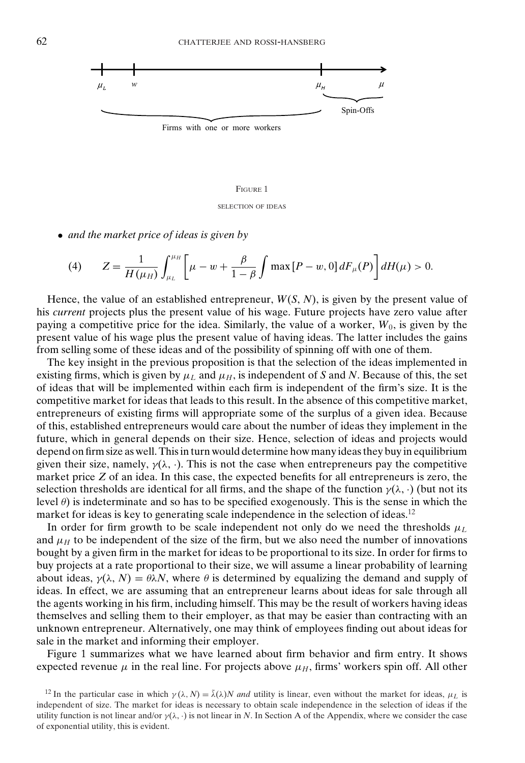

#### FIGURE 1

#### SELECTION OF IDEAS

• *and the market price of ideas is given by*

(4) 
$$
Z = \frac{1}{H(\mu_H)} \int_{\mu_L}^{\mu_H} \left[ \mu - w + \frac{\beta}{1 - \beta} \int \max [P - w, 0] dF_{\mu}(P) \right] dH(\mu) > 0.
$$

Hence, the value of an established entrepreneur, *W*(*S*, *N*), is given by the present value of his *current* projects plus the present value of his wage. Future projects have zero value after paying a competitive price for the idea. Similarly, the value of a worker, *W*0, is given by the present value of his wage plus the present value of having ideas. The latter includes the gains from selling some of these ideas and of the possibility of spinning off with one of them.

The key insight in the previous proposition is that the selection of the ideas implemented in existing firms, which is given by  $\mu_L$  and  $\mu_H$ , is independent of *S* and *N*. Because of this, the set of ideas that will be implemented within each firm is independent of the firm's size. It is the competitive market for ideas that leads to this result. In the absence of this competitive market, entrepreneurs of existing firms will appropriate some of the surplus of a given idea. Because of this, established entrepreneurs would care about the number of ideas they implement in the future, which in general depends on their size. Hence, selection of ideas and projects would depend on firm size as well. This in turn would determine how many ideas they buy in equilibrium given their size, namely,  $\gamma(\lambda, \cdot)$ . This is not the case when entrepreneurs pay the competitive market price *Z* of an idea. In this case, the expected benefits for all entrepreneurs is zero, the selection thresholds are identical for all firms, and the shape of the function  $\gamma(\lambda, \cdot)$  (but not its level  $\theta$ ) is indeterminate and so has to be specified exogenously. This is the sense in which the market for ideas is key to generating scale independence in the selection of ideas.<sup>12</sup>

In order for firm growth to be scale independent not only do we need the thresholds μ*<sup>L</sup>* and  $\mu$ <sub>H</sub> to be independent of the size of the firm, but we also need the number of innovations bought by a given firm in the market for ideas to be proportional to its size. In order for firms to buy projects at a rate proportional to their size, we will assume a linear probability of learning about ideas,  $\gamma(\lambda, N) = \theta \lambda N$ , where  $\theta$  is determined by equalizing the demand and supply of ideas. In effect, we are assuming that an entrepreneur learns about ideas for sale through all the agents working in his firm, including himself. This may be the result of workers having ideas themselves and selling them to their employer, as that may be easier than contracting with an unknown entrepreneur. Alternatively, one may think of employees finding out about ideas for sale in the market and informing their employer.

Figure 1 summarizes what we have learned about firm behavior and firm entry. It shows expected revenue  $\mu$  in the real line. For projects above  $\mu$ <sub>H</sub>, firms' workers spin off. All other

<sup>&</sup>lt;sup>12</sup> In the particular case in which  $\gamma(\lambda, N) = \tilde{\lambda}(\lambda)N$  *and* utility is linear, even without the market for ideas,  $\mu_L$  is independent of size. The market for ideas is necessary to obtain scale independence in the selection of ideas if the utility function is not linear and/or  $\gamma(\lambda, \cdot)$  is not linear in *N*. In Section A of the Appendix, where we consider the case of exponential utility, this is evident.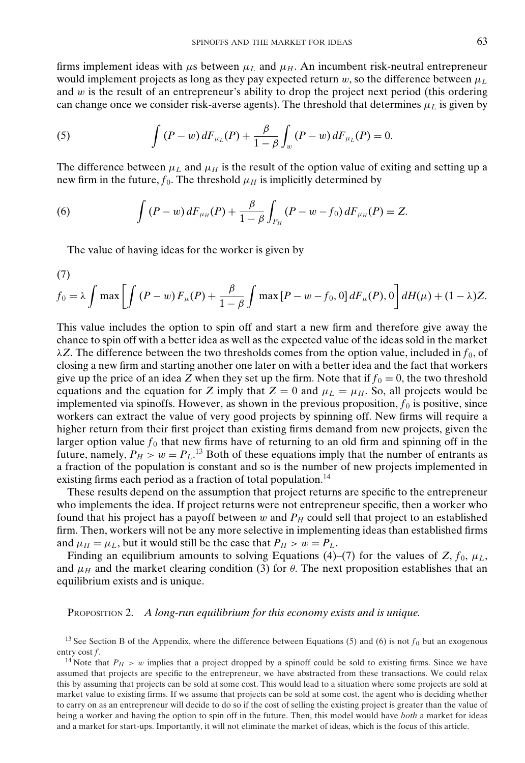firms implement ideas with  $\mu$ s between  $\mu$ <sub>L</sub> and  $\mu$ <sub>H</sub>. An incumbent risk-neutral entrepreneur would implement projects as long as they pay expected return w, so the difference between μ*<sup>L</sup>* and  $w$  is the result of an entrepreneur's ability to drop the project next period (this ordering can change once we consider risk-averse agents). The threshold that determines  $\mu_L$  is given by

(5) 
$$
\int (P - w) dF_{\mu_L}(P) + \frac{\beta}{1 - \beta} \int_w (P - w) dF_{\mu_L}(P) = 0.
$$

The difference between  $\mu_L$  and  $\mu_H$  is the result of the option value of exiting and setting up a new firm in the future,  $f_0$ . The threshold  $\mu$ <sup>H</sup> is implicitly determined by

(6) 
$$
\int (P-w) dF_{\mu_H}(P) + \frac{\beta}{1-\beta} \int_{P_H} (P-w-f_0) dF_{\mu_H}(P) = Z.
$$

The value of having ideas for the worker is given by

 $(7)$ 

(7)  

$$
f_0 = \lambda \int \max \left[ \int (P - w) F_{\mu}(P) + \frac{\beta}{1 - \beta} \int \max [P - w - f_0, 0] dF_{\mu}(P), 0 \right] dH(\mu) + (1 - \lambda) Z.
$$

This value includes the option to spin off and start a new firm and therefore give away the chance to spin off with a better idea as well as the expected value of the ideas sold in the market  $\lambda Z$ . The difference between the two thresholds comes from the option value, included in  $f_0$ , of closing a new firm and starting another one later on with a better idea and the fact that workers give up the price of an idea *Z* when they set up the firm. Note that if  $f_0 = 0$ , the two threshold equations and the equation for *Z* imply that  $Z = 0$  and  $\mu_L = \mu_H$ . So, all projects would be implemented via spinoffs. However, as shown in the previous proposition,  $f_0$  is positive, since workers can extract the value of very good projects by spinning off. New firms will require a higher return from their first project than existing firms demand from new projects, given the larger option value  $f_0$  that new firms have of returning to an old firm and spinning off in the future, namely,  $P_H > w = P_L$ .<sup>13</sup> Both of these equations imply that the number of entrants as a fraction of the population is constant and so is the number of new projects implemented in existing firms each period as a fraction of total population.<sup>14</sup>

These results depend on the assumption that project returns are specific to the entrepreneur who implements the idea. If project returns were not entrepreneur specific, then a worker who found that his project has a payoff between  $w$  and  $P<sub>H</sub>$  could sell that project to an established firm. Then, workers will not be any more selective in implementing ideas than established firms and  $\mu_H = \mu_L$ , but it would still be the case that  $P_H > w = P_L$ .

Finding an equilibrium amounts to solving Equations (4)–(7) for the values of  $Z, f_0, \mu_L$ , and  $\mu$ <sub>H</sub> and the market clearing condition (3) for  $\theta$ . The next proposition establishes that an equilibrium exists and is unique.

## PROPOSITION 2. *A long-run equilibrium for this economy exists and is unique.*

<sup>13</sup> See Section B of the Appendix, where the difference between Equations (5) and (6) is not  $f_0$  but an exogenous entry cost *f*.

<sup>&</sup>lt;sup>14</sup> Note that  $P_H > w$  implies that a project dropped by a spinoff could be sold to existing firms. Since we have assumed that projects are specific to the entrepreneur, we have abstracted from these transactions. We could relax this by assuming that projects can be sold at some cost. This would lead to a situation where some projects are sold at market value to existing firms. If we assume that projects can be sold at some cost, the agent who is deciding whether to carry on as an entrepreneur will decide to do so if the cost of selling the existing project is greater than the value of being a worker and having the option to spin off in the future. Then, this model would have *both* a market for ideas and a market for start-ups. Importantly, it will not eliminate the market of ideas, which is the focus of this article.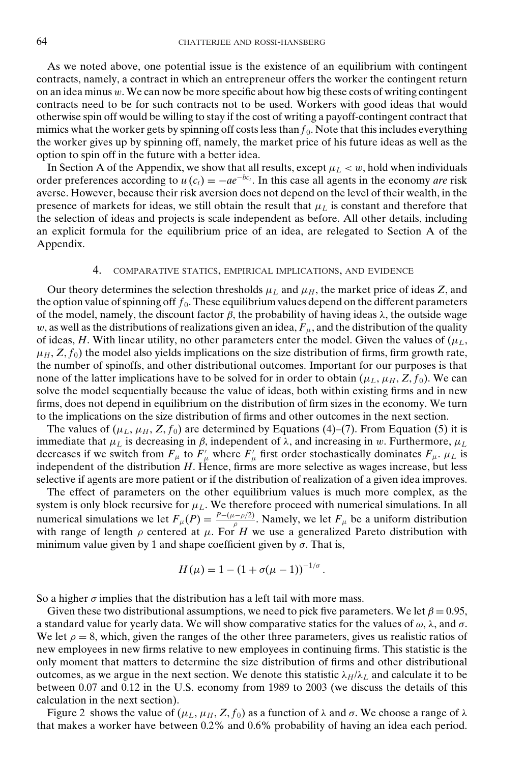As we noted above, one potential issue is the existence of an equilibrium with contingent contracts, namely, a contract in which an entrepreneur offers the worker the contingent return on an idea minus  $w$ . We can now be more specific about how big these costs of writing contingent contracts need to be for such contracts not to be used. Workers with good ideas that would otherwise spin off would be willing to stay if the cost of writing a payoff-contingent contract that mimics what the worker gets by spinning off costs less than  $f_0$ . Note that this includes everything the worker gives up by spinning off, namely, the market price of his future ideas as well as the option to spin off in the future with a better idea.

In Section A of the Appendix, we show that all results, except  $\mu_L < w$ , hold when individuals order preferences according to  $u(c_t) = -ae^{-bc_t}$ . In this case all agents in the economy *are* risk averse. However, because their risk aversion does not depend on the level of their wealth, in the presence of markets for ideas, we still obtain the result that  $\mu_L$  is constant and therefore that the selection of ideas and projects is scale independent as before. All other details, including an explicit formula for the equilibrium price of an idea, are relegated to Section A of the Appendix.

#### 4. COMPARATIVE STATICS, EMPIRICAL IMPLICATIONS, AND EVIDENCE

Our theory determines the selection thresholds  $\mu_L$  and  $\mu_H$ , the market price of ideas *Z*, and the option value of spinning off  $f_0$ . These equilibrium values depend on the different parameters of the model, namely, the discount factor  $\beta$ , the probability of having ideas  $\lambda$ , the outside wage w, as well as the distributions of realizations given an idea,  $F_\mu$ , and the distribution of the quality of ideas, *H*. With linear utility, no other parameters enter the model. Given the values of  $(\mu_L,$  $\mu_H$ ,  $Z$ ,  $f_0$ ) the model also yields implications on the size distribution of firms, firm growth rate, the number of spinoffs, and other distributional outcomes. Important for our purposes is that none of the latter implications have to be solved for in order to obtain  $(\mu_L, \mu_H, Z, f_0)$ . We can solve the model sequentially because the value of ideas, both within existing firms and in new firms, does not depend in equilibrium on the distribution of firm sizes in the economy. We turn to the implications on the size distribution of firms and other outcomes in the next section.

The values of  $(\mu_L, \mu_H, Z, f_0)$  are determined by Equations (4)–(7). From Equation (5) it is immediate that  $μ$ <sub>L</sub> is decreasing in  $β$ , independent of  $λ$ , and increasing in w. Furthermore,  $μ$ <sub>L</sub> decreases if we switch from  $F_{\mu}$  to  $F'_{\mu}$  where  $F'_{\mu}$  first order stochastically dominates  $F_{\mu}$ .  $\mu_L$  is independent of the distribution *H*. Hence, firms are more selective as wages increase, but less selective if agents are more patient or if the distribution of realization of a given idea improves.

The effect of parameters on the other equilibrium values is much more complex, as the system is only block recursive for μ*L*. We therefore proceed with numerical simulations. In all numerical simulations we let  $F_{\mu}(P) = \frac{P-(\mu-\rho/2)}{\rho}$ . Namely, we let  $F_{\mu}$  be a uniform distribution with range of length  $\rho$  centered at  $\mu$ . For *H* we use a generalized Pareto distribution with minimum value given by 1 and shape coefficient given by  $\sigma$ . That is,

$$
H(\mu) = 1 - (1 + \sigma(\mu - 1))^{-1/\sigma}.
$$

So a higher  $\sigma$  implies that the distribution has a left tail with more mass.

Given these two distributional assumptions, we need to pick five parameters. We let  $\beta = 0.95$ , a standard value for yearly data. We will show comparative statics for the values of  $\omega$ ,  $\lambda$ , and  $\sigma$ . We let  $\rho = 8$ , which, given the ranges of the other three parameters, gives us realistic ratios of new employees in new firms relative to new employees in continuing firms. This statistic is the only moment that matters to determine the size distribution of firms and other distributional outcomes, as we argue in the next section. We denote this statistic  $\lambda_H/\lambda_L$  and calculate it to be between 0.07 and 0.12 in the U.S. economy from 1989 to 2003 (we discuss the details of this calculation in the next section).

Figure 2 shows the value of ( $\mu_L$ ,  $\mu_H$ ,  $Z$ ,  $f_0$ ) as a function of  $\lambda$  and  $\sigma$ . We choose a range of  $\lambda$ that makes a worker have between 0.2% and 0.6% probability of having an idea each period.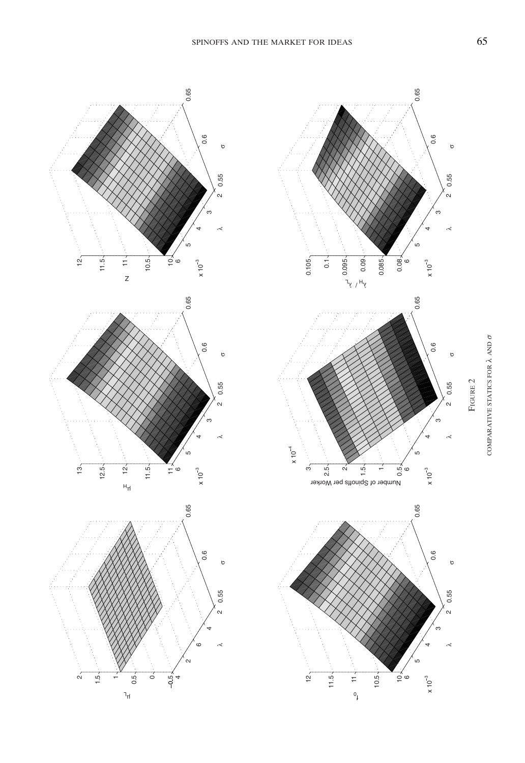

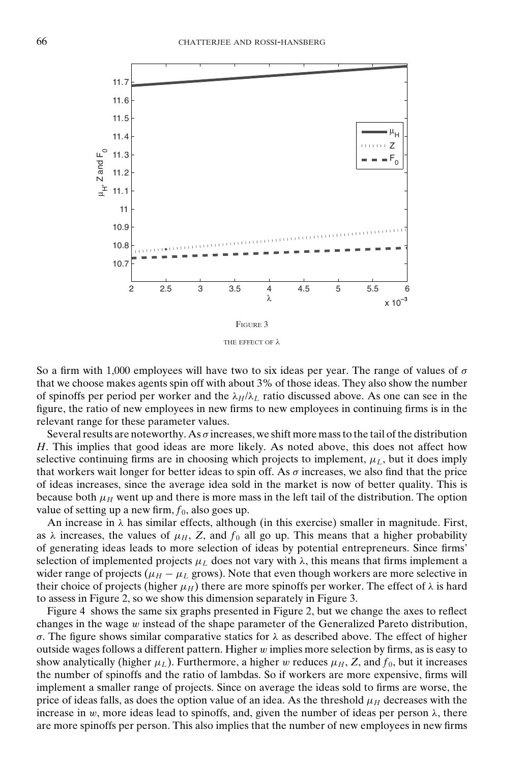

So a firm with 1,000 employees will have two to six ideas per year. The range of values of  $\sigma$ that we choose makes agents spin off with about 3% of those ideas. They also show the number of spinoffs per period per worker and the  $\lambda_H/\lambda_L$  ratio discussed above. As one can see in the figure, the ratio of new employees in new firms to new employees in continuing firms is in the relevant range for these parameter values.

Several results are noteworthy. As  $\sigma$  increases, we shift more mass to the tail of the distribution *H*. This implies that good ideas are more likely. As noted above, this does not affect how selective continuing firms are in choosing which projects to implement,  $\mu_L$ , but it does imply that workers wait longer for better ideas to spin off. As  $\sigma$  increases, we also find that the price of ideas increases, since the average idea sold in the market is now of better quality. This is because both  $\mu$ <sub>H</sub> went up and there is more mass in the left tail of the distribution. The option value of setting up a new firm,  $f_0$ , also goes up.

An increase in  $\lambda$  has similar effects, although (in this exercise) smaller in magnitude. First, as  $\lambda$  increases, the values of  $\mu$ <sub>H</sub>, Z, and  $f_0$  all go up. This means that a higher probability of generating ideas leads to more selection of ideas by potential entrepreneurs. Since firms' selection of implemented projects  $\mu_L$  does not vary with  $\lambda$ , this means that firms implement a wider range of projects ( $\mu_H - \mu_L$  grows). Note that even though workers are more selective in their choice of projects (higher  $\mu_H$ ) there are more spinoffs per worker. The effect of  $\lambda$  is hard to assess in Figure 2, so we show this dimension separately in Figure 3.

Figure 4 shows the same six graphs presented in Figure 2, but we change the axes to reflect changes in the wage w instead of the shape parameter of the Generalized Pareto distribution, σ. The figure shows similar comparative statics for  $\lambda$  as described above. The effect of higher outside wages follows a different pattern. Higher  $w$  implies more selection by firms, as is easy to show analytically (higher  $\mu_L$ ). Furthermore, a higher w reduces  $\mu_H$ , Z, and  $f_0$ , but it increases the number of spinoffs and the ratio of lambdas. So if workers are more expensive, firms will implement a smaller range of projects. Since on average the ideas sold to firms are worse, the price of ideas falls, as does the option value of an idea. As the threshold  $\mu$ <sub>H</sub> decreases with the increase in w, more ideas lead to spinoffs, and, given the number of ideas per person  $\lambda$ , there are more spinoffs per person. This also implies that the number of new employees in new firms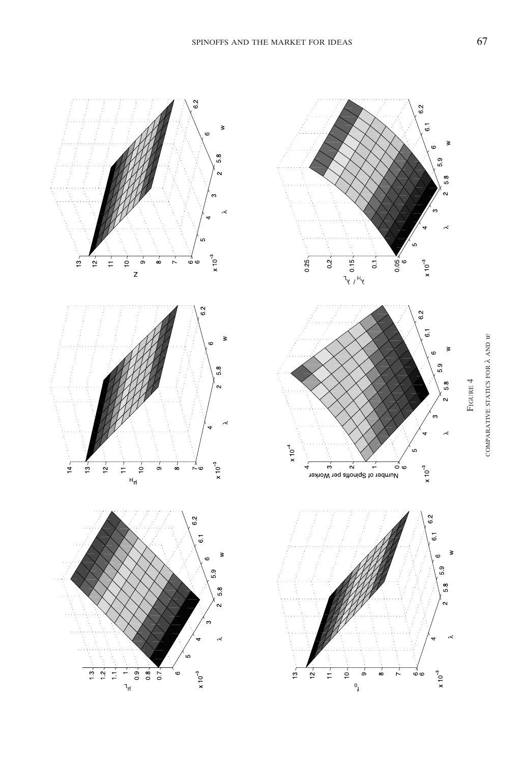

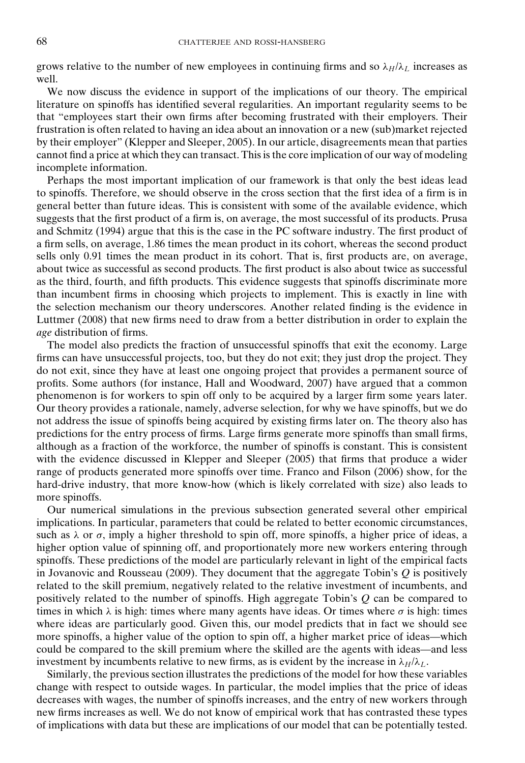grows relative to the number of new employees in continuing firms and so  $\lambda_H/\lambda_L$  increases as well.

We now discuss the evidence in support of the implications of our theory. The empirical literature on spinoffs has identified several regularities. An important regularity seems to be that "employees start their own firms after becoming frustrated with their employers. Their frustration is often related to having an idea about an innovation or a new (sub)market rejected by their employer" (Klepper and Sleeper, 2005). In our article, disagreements mean that parties cannot find a price at which they can transact. This is the core implication of our way of modeling incomplete information.

Perhaps the most important implication of our framework is that only the best ideas lead to spinoffs. Therefore, we should observe in the cross section that the first idea of a firm is in general better than future ideas. This is consistent with some of the available evidence, which suggests that the first product of a firm is, on average, the most successful of its products. Prusa and Schmitz (1994) argue that this is the case in the PC software industry. The first product of a firm sells, on average, 1.86 times the mean product in its cohort, whereas the second product sells only 0.91 times the mean product in its cohort. That is, first products are, on average, about twice as successful as second products. The first product is also about twice as successful as the third, fourth, and fifth products. This evidence suggests that spinoffs discriminate more than incumbent firms in choosing which projects to implement. This is exactly in line with the selection mechanism our theory underscores. Another related finding is the evidence in Luttmer (2008) that new firms need to draw from a better distribution in order to explain the *age* distribution of firms.

The model also predicts the fraction of unsuccessful spinoffs that exit the economy. Large firms can have unsuccessful projects, too, but they do not exit; they just drop the project. They do not exit, since they have at least one ongoing project that provides a permanent source of profits. Some authors (for instance, Hall and Woodward, 2007) have argued that a common phenomenon is for workers to spin off only to be acquired by a larger firm some years later. Our theory provides a rationale, namely, adverse selection, for why we have spinoffs, but we do not address the issue of spinoffs being acquired by existing firms later on. The theory also has predictions for the entry process of firms. Large firms generate more spinoffs than small firms, although as a fraction of the workforce, the number of spinoffs is constant. This is consistent with the evidence discussed in Klepper and Sleeper (2005) that firms that produce a wider range of products generated more spinoffs over time. Franco and Filson (2006) show, for the hard-drive industry, that more know-how (which is likely correlated with size) also leads to more spinoffs.

Our numerical simulations in the previous subsection generated several other empirical implications. In particular, parameters that could be related to better economic circumstances, such as  $\lambda$  or  $\sigma$ , imply a higher threshold to spin off, more spinoffs, a higher price of ideas, a higher option value of spinning off, and proportionately more new workers entering through spinoffs. These predictions of the model are particularly relevant in light of the empirical facts in Jovanovic and Rousseau (2009). They document that the aggregate Tobin's *Q* is positively related to the skill premium, negatively related to the relative investment of incumbents, and positively related to the number of spinoffs. High aggregate Tobin's *Q* can be compared to times in which  $\lambda$  is high: times where many agents have ideas. Or times where  $\sigma$  is high: times where ideas are particularly good. Given this, our model predicts that in fact we should see more spinoffs, a higher value of the option to spin off, a higher market price of ideas—which could be compared to the skill premium where the skilled are the agents with ideas—and less investment by incumbents relative to new firms, as is evident by the increase in  $\lambda_H/\lambda_L$ .

Similarly, the previous section illustrates the predictions of the model for how these variables change with respect to outside wages. In particular, the model implies that the price of ideas decreases with wages, the number of spinoffs increases, and the entry of new workers through new firms increases as well. We do not know of empirical work that has contrasted these types of implications with data but these are implications of our model that can be potentially tested.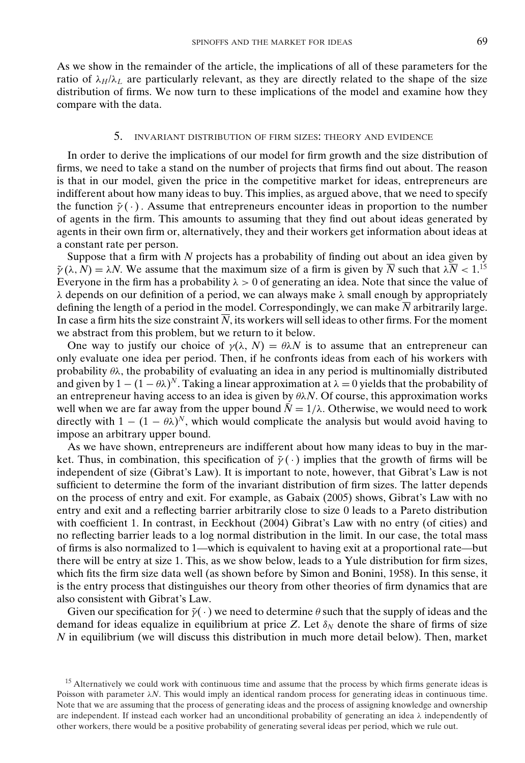As we show in the remainder of the article, the implications of all of these parameters for the ratio of  $\lambda_H/\lambda_L$  are particularly relevant, as they are directly related to the shape of the size distribution of firms. We now turn to these implications of the model and examine how they compare with the data.

## 5. INVARIANT DISTRIBUTION OF FIRM SIZES: THEORY AND EVIDENCE

In order to derive the implications of our model for firm growth and the size distribution of firms, we need to take a stand on the number of projects that firms find out about. The reason is that in our model, given the price in the competitive market for ideas, entrepreneurs are indifferent about how many ideas to buy. This implies, as argued above, that we need to specify the function  $\tilde{\gamma}(\cdot)$ . Assume that entrepreneurs encounter ideas in proportion to the number of agents in the firm. This amounts to assuming that they find out about ideas generated by agents in their own firm or, alternatively, they and their workers get information about ideas at a constant rate per person.

Suppose that a firm with *N* projects has a probability of finding out about an idea given by  $\tilde{\gamma}(\lambda, N) = \lambda N$ . We assume that the maximum size of a firm is given by  $\overline{N}$  such that  $\lambda \overline{N} < 1$ .<sup>15</sup> Everyone in the firm has a probability  $\lambda > 0$  of generating an idea. Note that since the value of  $\lambda$  depends on our definition of a period, we can always make  $\lambda$  small enough by appropriately defining the length of a period in the model. Correspondingly, we can make  $\overline{N}$  arbitrarily large. In case a firm hits the size constraint  $\overline{N}$ , its workers will sell ideas to other firms. For the moment we abstract from this problem, but we return to it below.

One way to justify our choice of  $\gamma(\lambda, N) = \theta \lambda N$  is to assume that an entrepreneur can only evaluate one idea per period. Then, if he confronts ideas from each of his workers with probability  $\theta \lambda$ , the probability of evaluating an idea in any period is multinomially distributed and given by  $1 - (1 - \theta \lambda)^N$ . Taking a linear approximation at  $\lambda = 0$  yields that the probability of an entrepreneur having access to an idea is given by  $\theta \lambda N$ . Of course, this approximation works well when we are far away from the upper bound  $\bar{N} = 1/\lambda$ . Otherwise, we would need to work directly with  $1 - (1 - \theta \lambda)^N$ , which would complicate the analysis but would avoid having to impose an arbitrary upper bound.

As we have shown, entrepreneurs are indifferent about how many ideas to buy in the market. Thus, in combination, this specification of  $\tilde{\gamma}(\cdot)$  implies that the growth of firms will be independent of size (Gibrat's Law). It is important to note, however, that Gibrat's Law is not sufficient to determine the form of the invariant distribution of firm sizes. The latter depends on the process of entry and exit. For example, as Gabaix (2005) shows, Gibrat's Law with no entry and exit and a reflecting barrier arbitrarily close to size 0 leads to a Pareto distribution with coefficient 1. In contrast, in Eeckhout (2004) Gibrat's Law with no entry (of cities) and no reflecting barrier leads to a log normal distribution in the limit. In our case, the total mass of firms is also normalized to 1—which is equivalent to having exit at a proportional rate—but there will be entry at size 1. This, as we show below, leads to a Yule distribution for firm sizes, which fits the firm size data well (as shown before by Simon and Bonini, 1958). In this sense, it is the entry process that distinguishes our theory from other theories of firm dynamics that are also consistent with Gibrat's Law.

Given our specification for  $\tilde{\gamma}(\cdot)$  we need to determine  $\theta$  such that the supply of ideas and the demand for ideas equalize in equilibrium at price *Z*. Let  $\delta_N$  denote the share of firms of size *N* in equilibrium (we will discuss this distribution in much more detail below). Then, market

<sup>15</sup> Alternatively we could work with continuous time and assume that the process by which firms generate ideas is Poisson with parameter λ*N*. This would imply an identical random process for generating ideas in continuous time. Note that we are assuming that the process of generating ideas and the process of assigning knowledge and ownership are independent. If instead each worker had an unconditional probability of generating an idea  $\lambda$  independently of other workers, there would be a positive probability of generating several ideas per period, which we rule out.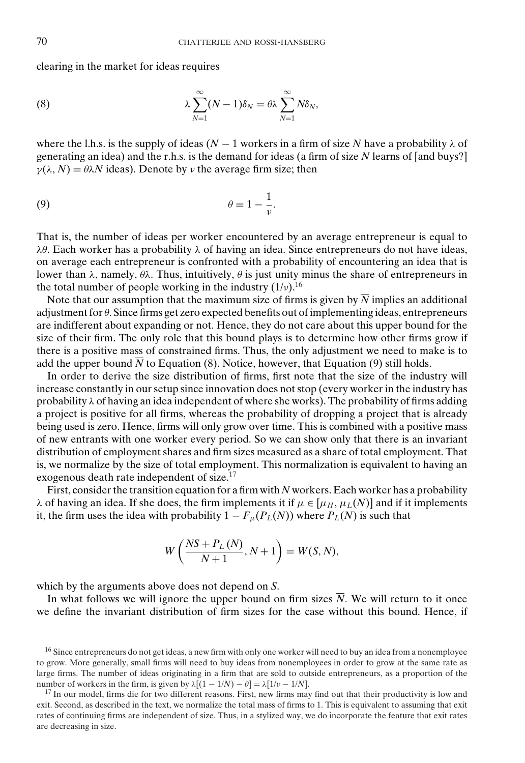clearing in the market for ideas requires

(8) 
$$
\lambda \sum_{N=1}^{\infty} (N-1) \delta_N = \theta \lambda \sum_{N=1}^{\infty} N \delta_N,
$$

where the l.h.s. is the supply of ideas ( $N-1$  workers in a firm of size N have a probability  $\lambda$  of generating an idea) and the r.h.s. is the demand for ideas (a firm of size *N* learns of [and buys?]  $\gamma(\lambda, N) = \theta \lambda N$  ideas). Denote by *v* the average firm size; then

$$
\theta = 1 - \frac{1}{\nu}.
$$

That is, the number of ideas per worker encountered by an average entrepreneur is equal to  $\lambda\theta$ . Each worker has a probability  $\lambda$  of having an idea. Since entrepreneurs do not have ideas, on average each entrepreneur is confronted with a probability of encountering an idea that is lower than  $\lambda$ , namely,  $\theta \lambda$ . Thus, intuitively,  $\theta$  is just unity minus the share of entrepreneurs in the total number of people working in the industry  $(1/v)$ .<sup>16</sup>

Note that our assumption that the maximum size of firms is given by  $\overline{N}$  implies an additional adjustment for  $\theta$ . Since firms get zero expected benefits out of implementing ideas, entrepreneurs are indifferent about expanding or not. Hence, they do not care about this upper bound for the size of their firm. The only role that this bound plays is to determine how other firms grow if there is a positive mass of constrained firms. Thus, the only adjustment we need to make is to add the upper bound  $\overline{N}$  to Equation (8). Notice, however, that Equation (9) still holds.

In order to derive the size distribution of firms, first note that the size of the industry will increase constantly in our setup since innovation does not stop (every worker in the industry has probability  $\lambda$  of having an idea independent of where she works). The probability of firms adding a project is positive for all firms, whereas the probability of dropping a project that is already being used is zero. Hence, firms will only grow over time. This is combined with a positive mass of new entrants with one worker every period. So we can show only that there is an invariant distribution of employment shares and firm sizes measured as a share of total employment. That is, we normalize by the size of total employment. This normalization is equivalent to having an exogenous death rate independent of size.<sup>17</sup>

First, consider the transition equation for a firm with *N* workers. Each worker has a probability λ of having an idea. If she does, the firm implements it if  $\mu \in [\mu_H, \mu_L(N)]$  and if it implements it, the firm uses the idea with probability  $1 - F_{\mu}(P_L(N))$  where  $P_L(N)$  is such that

$$
W\left(\frac{NS+P_L(N)}{N+1}, N+1\right) = W(S, N),
$$

which by the arguments above does not depend on *S*.

In what follows we will ignore the upper bound on firm sizes  $\overline{N}$ . We will return to it once we define the invariant distribution of firm sizes for the case without this bound. Hence, if

<sup>&</sup>lt;sup>16</sup> Since entrepreneurs do not get ideas, a new firm with only one worker will need to buy an idea from a nonemployee to grow. More generally, small firms will need to buy ideas from nonemployees in order to grow at the same rate as large firms. The number of ideas originating in a firm that are sold to outside entrepreneurs, as a proportion of the number of workers in the firm, is given by  $\lambda[(1 - 1/N) - \theta] = \lambda[1/\nu - 1/N]$ .

<sup>&</sup>lt;sup>17</sup> In our model, firms die for two different reasons. First, new firms may find out that their productivity is low and exit. Second, as described in the text, we normalize the total mass of firms to 1. This is equivalent to assuming that exit rates of continuing firms are independent of size. Thus, in a stylized way, we do incorporate the feature that exit rates are decreasing in size.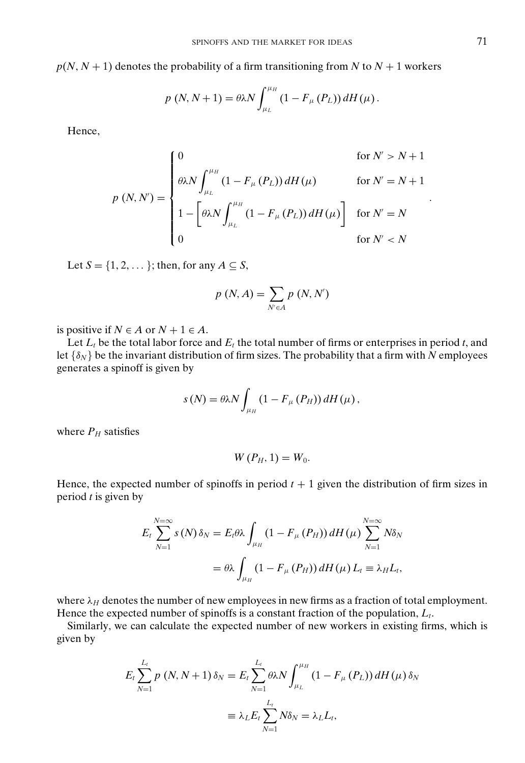$p(N, N + 1)$  denotes the probability of a firm transitioning from *N* to  $N + 1$  workers

$$
p(N, N+1) = \theta \lambda N \int_{\mu_L}^{\mu_H} (1 - F_{\mu}(P_L)) dH(\mu).
$$

Hence,

$$
p(N, N') = \begin{cases} 0 & \text{for } N' > N + 1 \\ \theta \lambda N \int_{\mu_L}^{\mu_H} (1 - F_{\mu}(P_L)) dH(\mu) & \text{for } N' = N + 1 \\ 1 - \left[ \theta \lambda N \int_{\mu_L}^{\mu_H} (1 - F_{\mu}(P_L)) dH(\mu) \right] & \text{for } N' = N \\ 0 & \text{for } N' < N \end{cases}
$$

Let  $S = \{1, 2, \dots\}$ ; then, for any  $A \subseteq S$ ,

$$
p\left(N,A\right) = \sum_{N' \in A} p\left(N,N'\right)
$$

is positive if  $N \in A$  or  $N + 1 \in A$ .

Let  $L_t$  be the total labor force and  $E_t$  the total number of firms or enterprises in period *t*, and let  $\{\delta_N\}$  be the invariant distribution of firm sizes. The probability that a firm with *N* employees generates a spinoff is given by

$$
s(N) = \theta \lambda N \int_{\mu_H} (1 - F_{\mu} (P_H)) dH(\mu),
$$

where  $P_H$  satisfies

$$
W(P_H, 1) = W_0.
$$

Hence, the expected number of spinoffs in period  $t + 1$  given the distribution of firm sizes in period *t* is given by

$$
E_t \sum_{N=1}^{N=\infty} s(N) \delta_N = E_t \theta \lambda \int_{\mu_H} (1 - F_{\mu} (P_H)) dH(\mu) \sum_{N=1}^{N=\infty} N \delta_N
$$
  
=  $\theta \lambda \int_{\mu_H} (1 - F_{\mu} (P_H)) dH(\mu) L_t \equiv \lambda_H L_t,$ 

where  $\lambda_H$  denotes the number of new employees in new firms as a fraction of total employment. Hence the expected number of spinoffs is a constant fraction of the population,  $L_t$ .

Similarly, we can calculate the expected number of new workers in existing firms, which is given by

$$
E_{t} \sum_{N=1}^{L_{t}} p(N, N+1) \delta_{N} = E_{t} \sum_{N=1}^{L_{t}} \theta \lambda N \int_{\mu_{L}}^{\mu_{H}} (1 - F_{\mu} (P_{L})) dH(\mu) \delta_{N}
$$

$$
\equiv \lambda_{L} E_{t} \sum_{N=1}^{L_{t}} N \delta_{N} = \lambda_{L} L_{t},
$$

.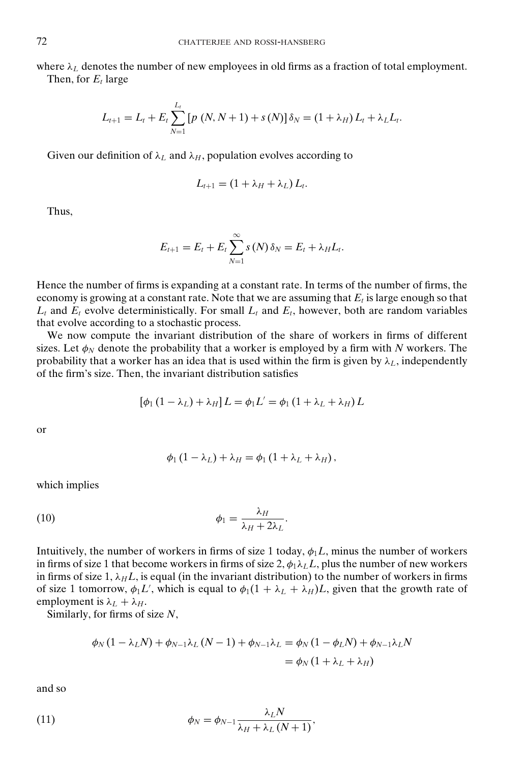where  $\lambda_L$  denotes the number of new employees in old firms as a fraction of total employment. Then, for  $E_t$  large

$$
L_{t+1} = L_t + E_t \sum_{N=1}^{L_t} [p (N, N+1) + s (N)] \delta_N = (1 + \lambda_H) L_t + \lambda_L L_t.
$$

Given our definition of  $\lambda_L$  and  $\lambda_H$ , population evolves according to

$$
L_{t+1} = (1 + \lambda_H + \lambda_L) L_t.
$$

Thus,

$$
E_{t+1} = E_t + E_t \sum_{N=1}^{\infty} s(N) \delta_N = E_t + \lambda_H L_t.
$$

Hence the number of firms is expanding at a constant rate. In terms of the number of firms, the economy is growing at a constant rate. Note that we are assuming that  $E_t$  is large enough so that  $L_t$  and  $E_t$  evolve deterministically. For small  $L_t$  and  $E_t$ , however, both are random variables that evolve according to a stochastic process.

We now compute the invariant distribution of the share of workers in firms of different sizes. Let  $\phi_N$  denote the probability that a worker is employed by a firm with *N* workers. The probability that a worker has an idea that is used within the firm is given by  $\lambda_L$ , independently of the firm's size. Then, the invariant distribution satisfies

$$
[\phi_1(1-\lambda_L)+\lambda_H]L=\phi_1L'=\phi_1(1+\lambda_L+\lambda_H)L
$$

or

$$
\phi_1(1-\lambda_L)+\lambda_H=\phi_1(1+\lambda_L+\lambda_H),
$$

which implies

(10) 
$$
\phi_1 = \frac{\lambda_H}{\lambda_H + 2\lambda_L}.
$$

Intuitively, the number of workers in firms of size 1 today,  $\phi_1 L$ , minus the number of workers in firms of size 1 that become workers in firms of size 2,  $\phi_1 \lambda_L L$ , plus the number of new workers in firms of size 1,  $\lambda_H L$ , is equal (in the invariant distribution) to the number of workers in firms of size 1 tomorrow,  $\phi_1 L'$ , which is equal to  $\phi_1(1 + \lambda_L + \lambda_H)L$ , given that the growth rate of employment is  $\lambda_L + \lambda_H$ .

Similarly, for firms of size *N*,

$$
\phi_N (1 - \lambda_L N) + \phi_{N-1} \lambda_L (N-1) + \phi_{N-1} \lambda_L = \phi_N (1 - \phi_L N) + \phi_{N-1} \lambda_L N
$$
  
=  $\phi_N (1 + \lambda_L + \lambda_H)$ 

and so

(11) 
$$
\phi_N = \phi_{N-1} \frac{\lambda_L N}{\lambda_H + \lambda_L (N+1)},
$$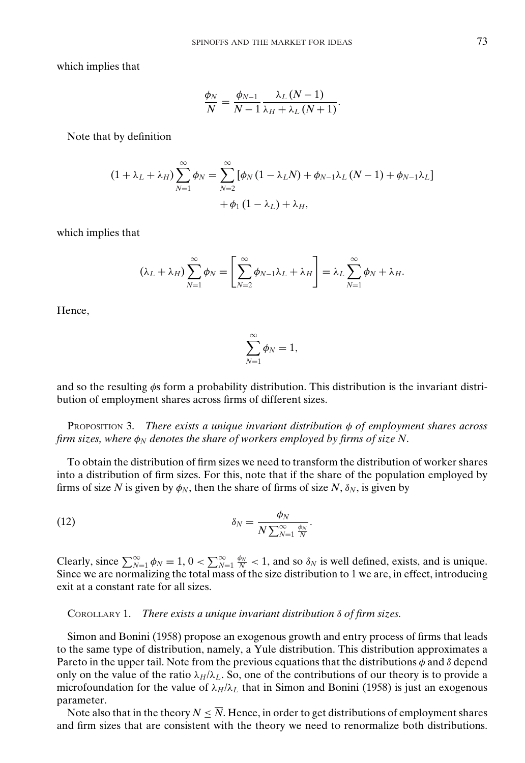which implies that

$$
\frac{\phi_N}{N} = \frac{\phi_{N-1}}{N-1} \frac{\lambda_L (N-1)}{\lambda_H + \lambda_L (N+1)}.
$$

Note that by definition

$$
(1 + \lambda_L + \lambda_H) \sum_{N=1}^{\infty} \phi_N = \sum_{N=2}^{\infty} [\phi_N (1 - \lambda_L N) + \phi_{N-1} \lambda_L (N-1) + \phi_{N-1} \lambda_L]
$$

$$
+ \phi_1 (1 - \lambda_L) + \lambda_H,
$$

which implies that

$$
(\lambda_L + \lambda_H) \sum_{N=1}^{\infty} \phi_N = \left[ \sum_{N=2}^{\infty} \phi_{N-1} \lambda_L + \lambda_H \right] = \lambda_L \sum_{N=1}^{\infty} \phi_N + \lambda_H.
$$

Hence,

$$
\sum_{N=1}^{\infty} \phi_N = 1,
$$

and so the resulting  $\phi$ s form a probability distribution. This distribution is the invariant distribution of employment shares across firms of different sizes.

PROPOSITION 3. *There exists a unique invariant distribution* φ *of employment shares across firm sizes, where* φ*<sup>N</sup> denotes the share of workers employed by firms of size N*.

To obtain the distribution of firm sizes we need to transform the distribution of worker shares into a distribution of firm sizes. For this, note that if the share of the population employed by firms of size *N* is given by  $\phi_N$ , then the share of firms of size *N*,  $\delta_N$ , is given by

(12) 
$$
\delta_N = \frac{\phi_N}{N \sum_{N=1}^{\infty} \frac{\phi_N}{N}}.
$$

Clearly, since  $\sum_{N=1}^{\infty} \phi_N = 1$ ,  $0 < \sum_{N=1}^{\infty} \frac{\phi_N}{N} < 1$ , and so  $\delta_N$  is well defined, exists, and is unique. Since we are normalizing the total mass of the size distribution to 1 we are, in effect, introducing exit at a constant rate for all sizes.

## COROLLARY 1. *There exists a unique invariant distribution* δ *of firm sizes.*

Simon and Bonini (1958) propose an exogenous growth and entry process of firms that leads to the same type of distribution, namely, a Yule distribution. This distribution approximates a Pareto in the upper tail. Note from the previous equations that the distributions  $\phi$  and  $\delta$  depend only on the value of the ratio  $\lambda_H/\lambda_L$ . So, one of the contributions of our theory is to provide a microfoundation for the value of  $\lambda_H/\lambda_L$  that in Simon and Bonini (1958) is just an exogenous parameter.

Note also that in the theory  $N \leq N$ . Hence, in order to get distributions of employment shares and firm sizes that are consistent with the theory we need to renormalize both distributions.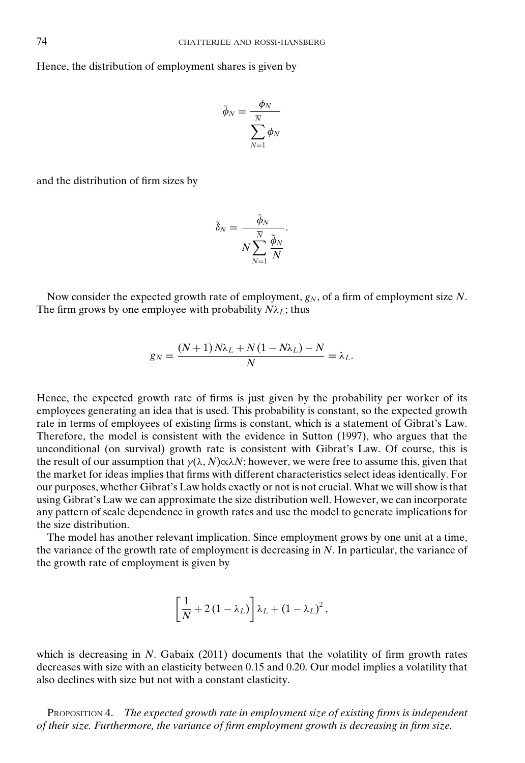Hence, the distribution of employment shares is given by

$$
\tilde{\phi}_N = \frac{\phi_N}{\sum\limits_{N=1}^{\overline{N}} \phi_N}
$$

and the distribution of firm sizes by

$$
\tilde{\delta}_N = \frac{\tilde{\phi}_N}{N \sum_{N=1}^{\overline{N}} \frac{\tilde{\phi}_N}{N}}.
$$

Now consider the expected growth rate of employment,  $g_N$ , of a firm of employment size N. The firm grows by one employee with probability  $N\lambda_L$ ; thus

$$
g_N = \frac{(N+1)N\lambda_L + N(1 - N\lambda_L) - N}{N} = \lambda_L.
$$

Hence, the expected growth rate of firms is just given by the probability per worker of its employees generating an idea that is used. This probability is constant, so the expected growth rate in terms of employees of existing firms is constant, which is a statement of Gibrat's Law. Therefore, the model is consistent with the evidence in Sutton (1997), who argues that the unconditional (on survival) growth rate is consistent with Gibrat's Law. Of course, this is the result of our assumption that  $\gamma(\lambda, N) \propto \lambda N$ ; however, we were free to assume this, given that the market for ideas implies that firms with different characteristics select ideas identically. For our purposes, whether Gibrat's Law holds exactly or not is not crucial. What we will show is that using Gibrat's Law we can approximate the size distribution well. However, we can incorporate any pattern of scale dependence in growth rates and use the model to generate implications for the size distribution.

The model has another relevant implication. Since employment grows by one unit at a time, the variance of the growth rate of employment is decreasing in *N*. In particular, the variance of the growth rate of employment is given by

$$
\left[\frac{1}{N} + 2(1 - \lambda_L)\right]\lambda_L + (1 - \lambda_L)^2,
$$

which is decreasing in *N*. Gabaix (2011) documents that the volatility of firm growth rates decreases with size with an elasticity between 0.15 and 0.20. Our model implies a volatility that also declines with size but not with a constant elasticity.

PROPOSITION 4. *The expected growth rate in employment size of existing firms is independent of their size. Furthermore, the variance of firm employment growth is decreasing in firm size.*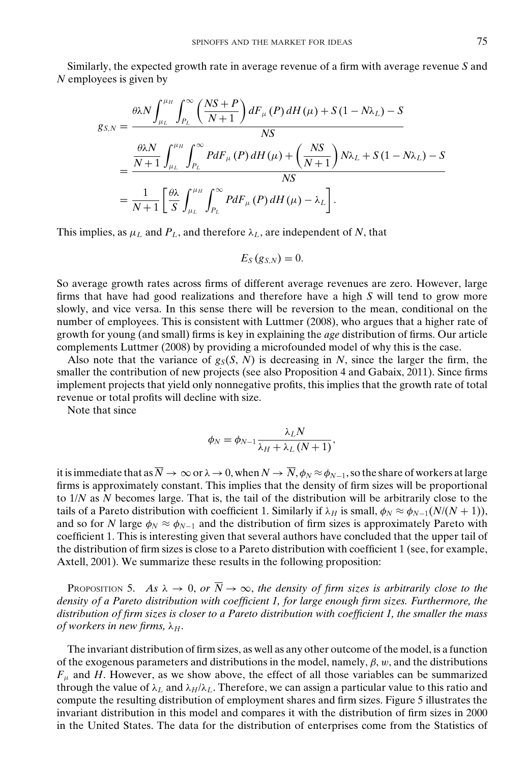Similarly, the expected growth rate in average revenue of a firm with average revenue *S* and *N* employees is given by

$$
g_{S,N} = \frac{\theta \lambda N \int_{\mu_L}^{\mu_H} \int_{P_L}^{\infty} \left( \frac{NS+P}{N+1} \right) dF_{\mu} (P) dH(\mu) + S(1 - N\lambda_L) - S}{NS}
$$
  
= 
$$
\frac{\frac{\theta \lambda N}{N+1} \int_{\mu_L}^{\mu_H} \int_{P_L}^{\infty} P dF_{\mu} (P) dH(\mu) + \left( \frac{NS}{N+1} \right) N\lambda_L + S(1 - N\lambda_L) - S}{NS}
$$
  
= 
$$
\frac{1}{N+1} \left[ \frac{\theta \lambda}{S} \int_{\mu_L}^{\mu_H} \int_{P_L}^{\infty} P dF_{\mu} (P) dH(\mu) - \lambda_L \right].
$$

This implies, as  $\mu_L$  and  $P_L$ , and therefore  $\lambda_L$ , are independent of N, that

$$
E_{S}\left(g_{S,N}\right)=0.
$$

So average growth rates across firms of different average revenues are zero. However, large firms that have had good realizations and therefore have a high *S* will tend to grow more slowly, and vice versa. In this sense there will be reversion to the mean, conditional on the number of employees. This is consistent with Luttmer (2008), who argues that a higher rate of growth for young (and small) firms is key in explaining the *age* distribution of firms. Our article complements Luttmer (2008) by providing a microfounded model of why this is the case.

Also note that the variance of  $g_S(S, N)$  is decreasing in *N*, since the larger the firm, the smaller the contribution of new projects (see also Proposition 4 and Gabaix, 2011). Since firms implement projects that yield only nonnegative profits, this implies that the growth rate of total revenue or total profits will decline with size.

Note that since

$$
\phi_N = \phi_{N-1} \frac{\lambda_L N}{\lambda_H + \lambda_L (N+1)},
$$

it is immediate that as  $\overline{N} \to \infty$  or  $\lambda \to 0$ , when  $N \to \overline{N}$ ,  $\phi_N \approx \phi_{N-1}$ , so the share of workers at large firms is approximately constant. This implies that the density of firm sizes will be proportional to 1/*N* as *N* becomes large. That is, the tail of the distribution will be arbitrarily close to the tails of a Pareto distribution with coefficient 1. Similarly if  $\lambda_H$  is small,  $\phi_N \approx \phi_{N-1}(N/(N+1))$ , and so for *N* large  $\phi_N \approx \phi_{N-1}$  and the distribution of firm sizes is approximately Pareto with coefficient 1. This is interesting given that several authors have concluded that the upper tail of the distribution of firm sizes is close to a Pareto distribution with coefficient 1 (see, for example, Axtell, 2001). We summarize these results in the following proposition:

PROPOSITION 5. *As*  $\lambda \to 0$ , *or*  $\overline{N} \to \infty$ , *the density of firm sizes is arbitrarily close to the density of a Pareto distribution with coefficient 1, for large enough firm sizes. Furthermore, the distribution of firm sizes is closer to a Pareto distribution with coefficient 1, the smaller the mass of workers in new firms,* λ*H*.

The invariant distribution of firm sizes, as well as any other outcome of the model, is a function of the exogenous parameters and distributions in the model, namely,  $\beta$ ,  $w$ , and the distributions  $F_{\mu}$  and *H*. However, as we show above, the effect of all those variables can be summarized through the value of  $\lambda_L$  and  $\lambda_H/\lambda_L$ . Therefore, we can assign a particular value to this ratio and compute the resulting distribution of employment shares and firm sizes. Figure 5 illustrates the invariant distribution in this model and compares it with the distribution of firm sizes in 2000 in the United States. The data for the distribution of enterprises come from the Statistics of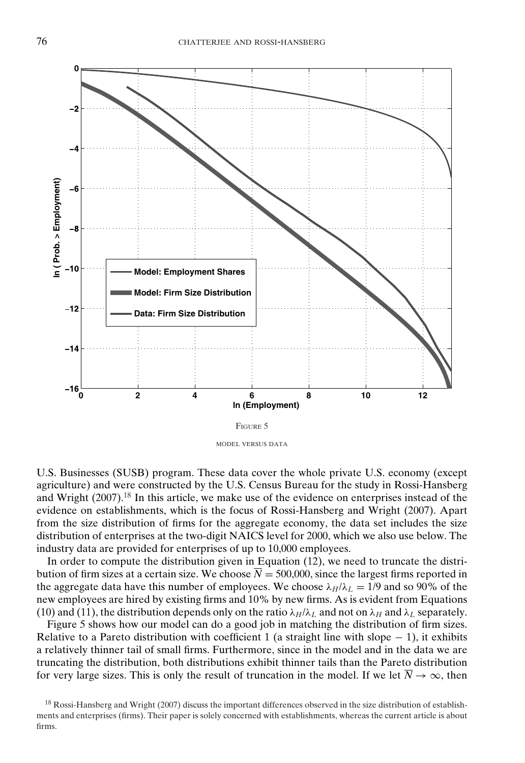

MODEL VERSUS DATA

U.S. Businesses (SUSB) program. These data cover the whole private U.S. economy (except agriculture) and were constructed by the U.S. Census Bureau for the study in Rossi-Hansberg and Wright  $(2007)$ .<sup>18</sup> In this article, we make use of the evidence on enterprises instead of the evidence on establishments, which is the focus of Rossi-Hansberg and Wright (2007). Apart from the size distribution of firms for the aggregate economy, the data set includes the size distribution of enterprises at the two-digit NAICS level for 2000, which we also use below. The industry data are provided for enterprises of up to 10,000 employees.

In order to compute the distribution given in Equation (12), we need to truncate the distribution of firm sizes at a certain size. We choose  $\overline{N} = 500,000$ , since the largest firms reported in the aggregate data have this number of employees. We choose  $\lambda_H/\lambda_L = 1/9$  and so 90% of the new employees are hired by existing firms and 10% by new firms. As is evident from Equations (10) and (11), the distribution depends only on the ratio  $\lambda_H/\lambda_L$  and not on  $\lambda_H$  and  $\lambda_L$  separately.

Figure 5 shows how our model can do a good job in matching the distribution of firm sizes. Relative to a Pareto distribution with coefficient 1 (a straight line with slope  $-1$ ), it exhibits a relatively thinner tail of small firms. Furthermore, since in the model and in the data we are truncating the distribution, both distributions exhibit thinner tails than the Pareto distribution for very large sizes. This is only the result of truncation in the model. If we let  $\overline{N} \to \infty$ , then

 $18$  Rossi-Hansberg and Wright (2007) discuss the important differences observed in the size distribution of establishments and enterprises (firms). Their paper is solely concerned with establishments, whereas the current article is about firms.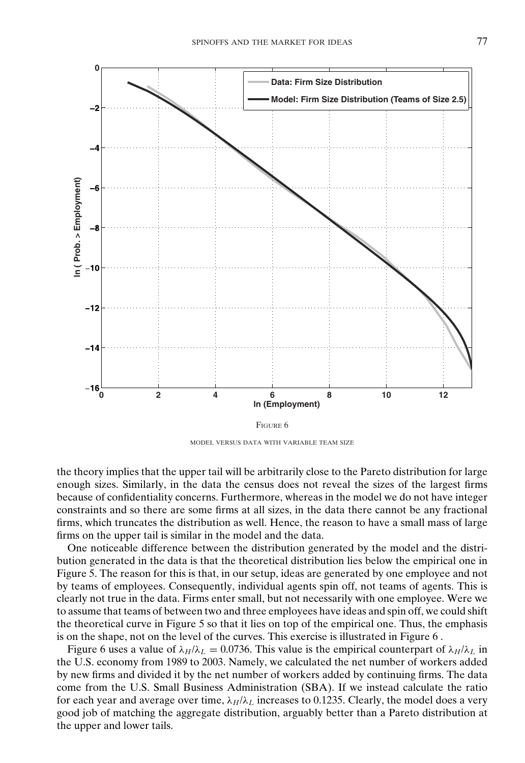

MODEL VERSUS DATA WITH VARIABLE TEAM SIZE

the theory implies that the upper tail will be arbitrarily close to the Pareto distribution for large enough sizes. Similarly, in the data the census does not reveal the sizes of the largest firms because of confidentiality concerns. Furthermore, whereas in the model we do not have integer constraints and so there are some firms at all sizes, in the data there cannot be any fractional firms, which truncates the distribution as well. Hence, the reason to have a small mass of large firms on the upper tail is similar in the model and the data.

One noticeable difference between the distribution generated by the model and the distribution generated in the data is that the theoretical distribution lies below the empirical one in Figure 5. The reason for this is that, in our setup, ideas are generated by one employee and not by teams of employees. Consequently, individual agents spin off, not teams of agents. This is clearly not true in the data. Firms enter small, but not necessarily with one employee. Were we to assume that teams of between two and three employees have ideas and spin off, we could shift the theoretical curve in Figure 5 so that it lies on top of the empirical one. Thus, the emphasis is on the shape, not on the level of the curves. This exercise is illustrated in Figure 6 .

Figure 6 uses a value of  $\lambda_H/\lambda_L = 0.0736$ . This value is the empirical counterpart of  $\lambda_H/\lambda_L$  in the U.S. economy from 1989 to 2003. Namely, we calculated the net number of workers added by new firms and divided it by the net number of workers added by continuing firms. The data come from the U.S. Small Business Administration (SBA). If we instead calculate the ratio for each year and average over time,  $\lambda_H/\lambda_L$  increases to 0.1235. Clearly, the model does a very good job of matching the aggregate distribution, arguably better than a Pareto distribution at the upper and lower tails.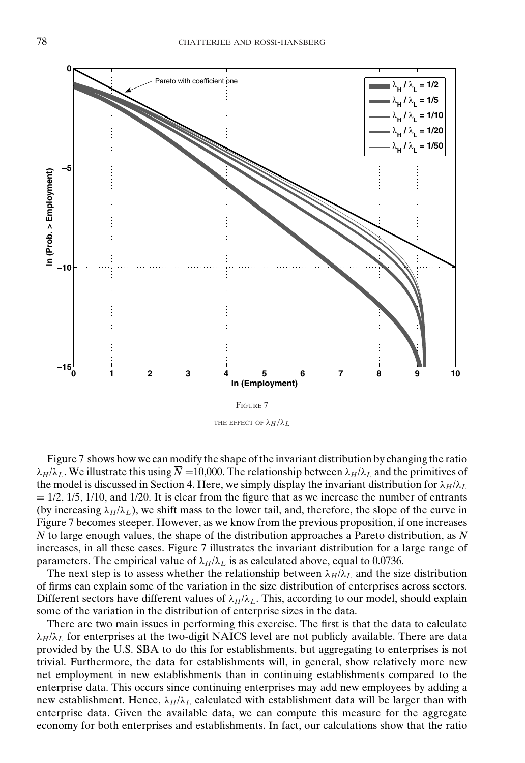

THE EFFECT OF  $\lambda_H/\lambda_L$ 

Figure 7 shows how we can modify the shape of the invariant distribution by changing the ratio  $\lambda_H/\lambda_L$ . We illustrate this using  $\overline{N}$  =10,000. The relationship between  $\lambda_H/\lambda_L$  and the primitives of the model is discussed in Section 4. Here, we simply display the invariant distribution for  $\lambda_H/\lambda_L$  $= 1/2$ ,  $1/5$ ,  $1/10$ , and  $1/20$ . It is clear from the figure that as we increase the number of entrants (by increasing  $\lambda_H/\lambda_L$ ), we shift mass to the lower tail, and, therefore, the slope of the curve in Figure 7 becomes steeper. However, as we know from the previous proposition, if one increases *N* to large enough values, the shape of the distribution approaches a Pareto distribution, as *N* increases, in all these cases. Figure 7 illustrates the invariant distribution for a large range of parameters. The empirical value of  $\lambda_H/\lambda_L$  is as calculated above, equal to 0.0736.

The next step is to assess whether the relationship between  $\lambda_H/\lambda_L$  and the size distribution of firms can explain some of the variation in the size distribution of enterprises across sectors. Different sectors have different values of  $\lambda_H/\lambda_L$ . This, according to our model, should explain some of the variation in the distribution of enterprise sizes in the data.

There are two main issues in performing this exercise. The first is that the data to calculate  $\lambda_H/\lambda_L$  for enterprises at the two-digit NAICS level are not publicly available. There are data provided by the U.S. SBA to do this for establishments, but aggregating to enterprises is not trivial. Furthermore, the data for establishments will, in general, show relatively more new net employment in new establishments than in continuing establishments compared to the enterprise data. This occurs since continuing enterprises may add new employees by adding a new establishment. Hence,  $\lambda_H/\lambda_L$  calculated with establishment data will be larger than with enterprise data. Given the available data, we can compute this measure for the aggregate economy for both enterprises and establishments. In fact, our calculations show that the ratio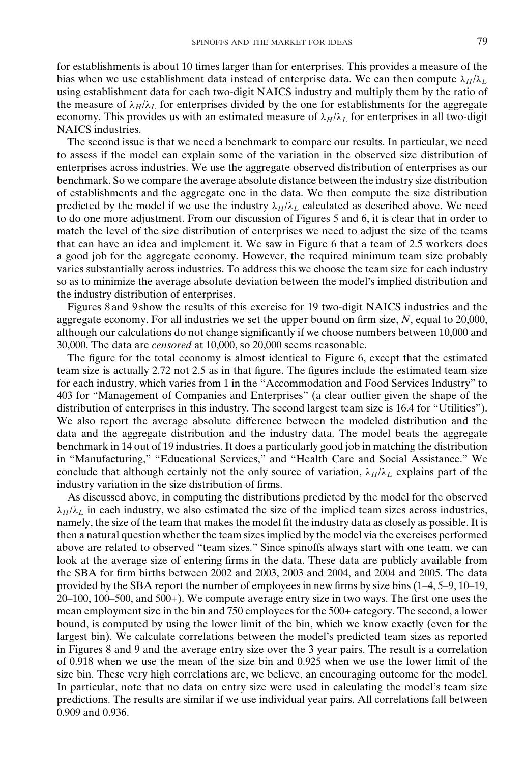for establishments is about 10 times larger than for enterprises. This provides a measure of the bias when we use establishment data instead of enterprise data. We can then compute  $\lambda_H/\lambda_L$ using establishment data for each two-digit NAICS industry and multiply them by the ratio of the measure of  $\lambda_H/\lambda_L$  for enterprises divided by the one for establishments for the aggregate economy. This provides us with an estimated measure of  $\lambda_H/\lambda_L$  for enterprises in all two-digit NAICS industries.

The second issue is that we need a benchmark to compare our results. In particular, we need to assess if the model can explain some of the variation in the observed size distribution of enterprises across industries. We use the aggregate observed distribution of enterprises as our benchmark. So we compare the average absolute distance between the industry size distribution of establishments and the aggregate one in the data. We then compute the size distribution predicted by the model if we use the industry  $\lambda_H/\lambda_L$  calculated as described above. We need to do one more adjustment. From our discussion of Figures 5 and 6, it is clear that in order to match the level of the size distribution of enterprises we need to adjust the size of the teams that can have an idea and implement it. We saw in Figure 6 that a team of 2.5 workers does a good job for the aggregate economy. However, the required minimum team size probably varies substantially across industries. To address this we choose the team size for each industry so as to minimize the average absolute deviation between the model's implied distribution and the industry distribution of enterprises.

Figures 8 and 9 show the results of this exercise for 19 two-digit NAICS industries and the aggregate economy. For all industries we set the upper bound on firm size, *N*, equal to 20,000, although our calculations do not change significantly if we choose numbers between 10,000 and 30,000. The data are *censored* at 10,000, so 20,000 seems reasonable.

The figure for the total economy is almost identical to Figure 6, except that the estimated team size is actually 2.72 not 2.5 as in that figure. The figures include the estimated team size for each industry, which varies from 1 in the "Accommodation and Food Services Industry" to 403 for "Management of Companies and Enterprises" (a clear outlier given the shape of the distribution of enterprises in this industry. The second largest team size is 16.4 for "Utilities"). We also report the average absolute difference between the modeled distribution and the data and the aggregate distribution and the industry data. The model beats the aggregate benchmark in 14 out of 19 industries. It does a particularly good job in matching the distribution in "Manufacturing," "Educational Services," and "Health Care and Social Assistance." We conclude that although certainly not the only source of variation,  $\lambda_H/\lambda_L$  explains part of the industry variation in the size distribution of firms.

As discussed above, in computing the distributions predicted by the model for the observed  $\lambda_H/\lambda_L$  in each industry, we also estimated the size of the implied team sizes across industries, namely, the size of the team that makes the model fit the industry data as closely as possible. It is then a natural question whether the team sizes implied by the model via the exercises performed above are related to observed "team sizes." Since spinoffs always start with one team, we can look at the average size of entering firms in the data. These data are publicly available from the SBA for firm births between 2002 and 2003, 2003 and 2004, and 2004 and 2005. The data provided by the SBA report the number of employees in new firms by size bins (1–4, 5–9, 10–19, 20–100, 100–500, and 500+). We compute average entry size in two ways. The first one uses the mean employment size in the bin and 750 employees for the 500+ category. The second, a lower bound, is computed by using the lower limit of the bin, which we know exactly (even for the largest bin). We calculate correlations between the model's predicted team sizes as reported in Figures 8 and 9 and the average entry size over the 3 year pairs. The result is a correlation of 0.918 when we use the mean of the size bin and 0.925 when we use the lower limit of the size bin. These very high correlations are, we believe, an encouraging outcome for the model. In particular, note that no data on entry size were used in calculating the model's team size predictions. The results are similar if we use individual year pairs. All correlations fall between 0.909 and 0.936.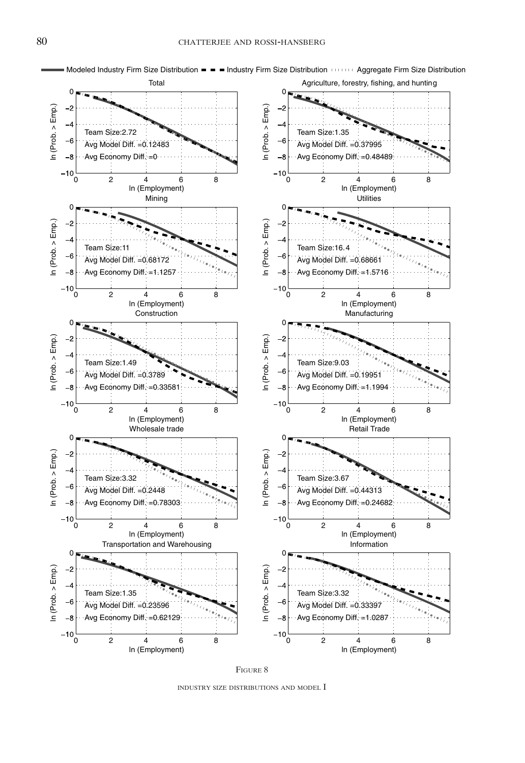

Modeled Industry Firm Size Distribution  $- -$  Industry Firm Size Distribution Aggregate Firm Size Distribution



INDUSTRY SIZE DISTRIBUTIONS AND MODEL I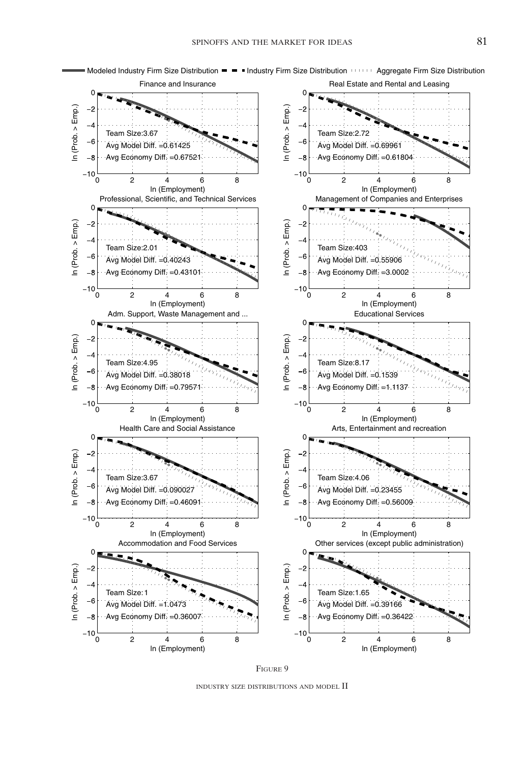



INDUSTRY SIZE DISTRIBUTIONS AND MODEL II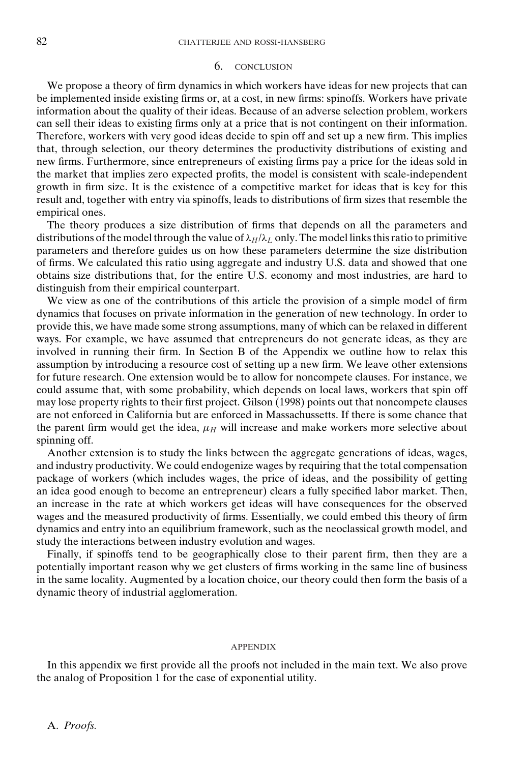### 6. CONCLUSION

We propose a theory of firm dynamics in which workers have ideas for new projects that can be implemented inside existing firms or, at a cost, in new firms: spinoffs. Workers have private information about the quality of their ideas. Because of an adverse selection problem, workers can sell their ideas to existing firms only at a price that is not contingent on their information. Therefore, workers with very good ideas decide to spin off and set up a new firm. This implies that, through selection, our theory determines the productivity distributions of existing and new firms. Furthermore, since entrepreneurs of existing firms pay a price for the ideas sold in the market that implies zero expected profits, the model is consistent with scale-independent growth in firm size. It is the existence of a competitive market for ideas that is key for this result and, together with entry via spinoffs, leads to distributions of firm sizes that resemble the empirical ones.

The theory produces a size distribution of firms that depends on all the parameters and distributions of the model through the value of  $\lambda_H/\lambda_L$  only. The model links this ratio to primitive parameters and therefore guides us on how these parameters determine the size distribution of firms. We calculated this ratio using aggregate and industry U.S. data and showed that one obtains size distributions that, for the entire U.S. economy and most industries, are hard to distinguish from their empirical counterpart.

We view as one of the contributions of this article the provision of a simple model of firm dynamics that focuses on private information in the generation of new technology. In order to provide this, we have made some strong assumptions, many of which can be relaxed in different ways. For example, we have assumed that entrepreneurs do not generate ideas, as they are involved in running their firm. In Section B of the Appendix we outline how to relax this assumption by introducing a resource cost of setting up a new firm. We leave other extensions for future research. One extension would be to allow for noncompete clauses. For instance, we could assume that, with some probability, which depends on local laws, workers that spin off may lose property rights to their first project. Gilson (1998) points out that noncompete clauses are not enforced in California but are enforced in Massachussetts. If there is some chance that the parent firm would get the idea,  $\mu$ <sub>H</sub> will increase and make workers more selective about spinning off.

Another extension is to study the links between the aggregate generations of ideas, wages, and industry productivity. We could endogenize wages by requiring that the total compensation package of workers (which includes wages, the price of ideas, and the possibility of getting an idea good enough to become an entrepreneur) clears a fully specified labor market. Then, an increase in the rate at which workers get ideas will have consequences for the observed wages and the measured productivity of firms. Essentially, we could embed this theory of firm dynamics and entry into an equilibrium framework, such as the neoclassical growth model, and study the interactions between industry evolution and wages.

Finally, if spinoffs tend to be geographically close to their parent firm, then they are a potentially important reason why we get clusters of firms working in the same line of business in the same locality. Augmented by a location choice, our theory could then form the basis of a dynamic theory of industrial agglomeration.

#### APPENDIX

In this appendix we first provide all the proofs not included in the main text. We also prove the analog of Proposition 1 for the case of exponential utility.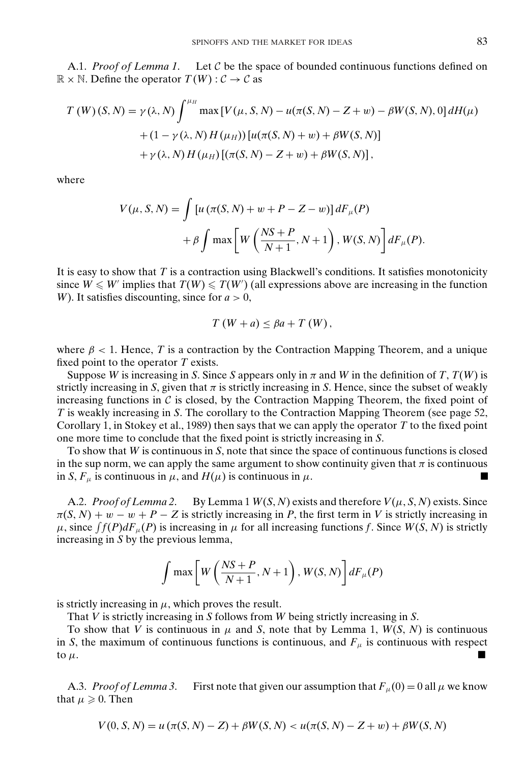A.1. *Proof of Lemma 1*. Let C be the space of bounded continuous functions defined on  $\mathbb{R} \times \mathbb{N}$ . Define the operator  $T(W): \mathcal{C} \to \mathcal{C}$  as

$$
T(W)(S, N) = \gamma(\lambda, N) \int^{\mu_H} \max [V(\mu, S, N) - u(\pi(S, N) - Z + w) - \beta W(S, N), 0] dH(\mu)
$$
  
+ 
$$
(1 - \gamma(\lambda, N) H(\mu_H)) [u(\pi(S, N) + w) + \beta W(S, N)]
$$
  
+ 
$$
\gamma(\lambda, N) H(\mu_H) [(\pi(S, N) - Z + w) + \beta W(S, N)],
$$

where

$$
V(\mu, S, N) = \int \left[ u\left(\pi(S, N) + w + P - Z - w\right) \right] dF_{\mu}(P)
$$

$$
+ \beta \int \max \left[ W\left(\frac{NS + P}{N + 1}, N + 1\right), W(S, N) \right] dF_{\mu}(P).
$$

It is easy to show that *T* is a contraction using Blackwell's conditions. It satisfies monotonicity since  $W \leq W'$  implies that  $T(W) \leq T(W')$  (all expressions above are increasing in the function *W*). It satisfies discounting, since for  $a > 0$ ,

$$
T(W + a) \leq \beta a + T(W),
$$

where  $\beta$  < 1. Hence, *T* is a contraction by the Contraction Mapping Theorem, and a unique fixed point to the operator *T* exists.

Suppose *W* is increasing in *S*. Since *S* appears only in  $\pi$  and *W* in the definition of *T*,  $T(W)$  is strictly increasing in *S*, given that  $\pi$  is strictly increasing in *S*. Hence, since the subset of weakly increasing functions in  $\mathcal C$  is closed, by the Contraction Mapping Theorem, the fixed point of *T* is weakly increasing in *S*. The corollary to the Contraction Mapping Theorem (see page 52, Corollary 1, in Stokey et al., 1989) then says that we can apply the operator *T* to the fixed point one more time to conclude that the fixed point is strictly increasing in *S*.

To show that *W* is continuous in *S*, note that since the space of continuous functions is closed in the sup norm, we can apply the same argument to show continuity given that  $\pi$  is continuous in *S*,  $F_{\mu}$  is continuous in  $\mu$ , and  $H(\mu)$  is continuous in  $\mu$ .

A.2. *Proof of Lemma 2.* By Lemma 1  $W(S, N)$  exists and therefore  $V(\mu, S, N)$  exists. Since  $\pi(S, N) + w - w + P - Z$  is strictly increasing in *P*, the first term in *V* is strictly increasing in  $\mu$ , since  $\int f(P) dF_{\mu}(P)$  is increasing in  $\mu$  for all increasing functions f. Since  $W(S, N)$  is strictly increasing in *S* by the previous lemma,

$$
\int \max \left[ W\left(\frac{NS+P}{N+1}, N+1\right), W(S, N) \right] dF_{\mu}(P)
$$

is strictly increasing in  $\mu$ , which proves the result.

That *V* is strictly increasing in *S* follows from *W* being strictly increasing in *S*.

To show that *V* is continuous in  $\mu$  and *S*, note that by Lemma 1,  $W(S, N)$  is continuous in *S*, the maximum of continuous functions is continuous, and  $F_\mu$  is continuous with respect to  $\mu$ .

A.3. *Proof of Lemma 3*. First note that given our assumption that  $F_\mu(0) = 0$  all  $\mu$  we know that  $\mu \geqslant 0$ . Then

$$
V(0, S, N) = u(\pi(S, N) - Z) + \beta W(S, N) < u(\pi(S, N) - Z + w) + \beta W(S, N)
$$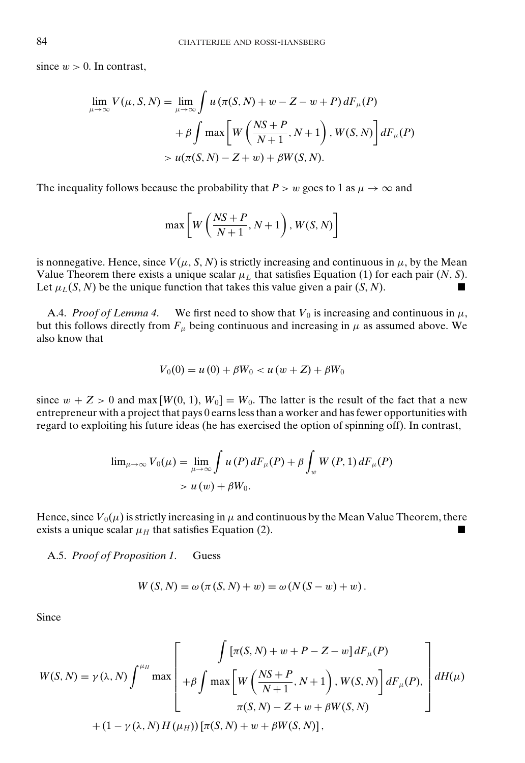since  $w > 0$ . In contrast,

$$
\lim_{\mu \to \infty} V(\mu, S, N) = \lim_{\mu \to \infty} \int u(\pi(S, N) + w - Z - w + P) dF_{\mu}(P)
$$
  
+  $\beta \int \max \left[ W\left(\frac{NS + P}{N + 1}, N + 1\right), W(S, N) \right] dF_{\mu}(P)$   
>  $u(\pi(S, N) - Z + w) + \beta W(S, N).$ 

The inequality follows because the probability that  $P > w$  goes to 1 as  $\mu \to \infty$  and

$$
\max\left[W\left(\frac{NS+P}{N+1}, N+1\right), W(S, N)\right]
$$

is nonnegative. Hence, since  $V(\mu, S, N)$  is strictly increasing and continuous in  $\mu$ , by the Mean Value Theorem there exists a unique scalar  $\mu_L$  that satisfies Equation (1) for each pair  $(N, S)$ . Let  $\mu_L(S, N)$  be the unique function that takes this value given a pair  $(S, N)$ .

A.4. *Proof of Lemma 4*. We first need to show that  $V_0$  is increasing and continuous in  $\mu$ , but this follows directly from  $F_\mu$  being continuous and increasing in  $\mu$  as assumed above. We also know that

$$
V_0(0) = u(0) + \beta W_0 < u(w + Z) + \beta W_0
$$

since  $w + Z > 0$  and max  $[W(0, 1), W_0] = W_0$ . The latter is the result of the fact that a new entrepreneur with a project that pays 0 earns less than a worker and has fewer opportunities with regard to exploiting his future ideas (he has exercised the option of spinning off). In contrast,

$$
\lim_{\mu \to \infty} V_0(\mu) = \lim_{\mu \to \infty} \int u(P) dF_{\mu}(P) + \beta \int_w W(P, 1) dF_{\mu}(P)
$$
  
>  $u(w) + \beta W_0.$ 

Hence, since  $V_0(\mu)$  is strictly increasing in  $\mu$  and continuous by the Mean Value Theorem, there exists a unique scalar  $\mu$ <sup>H</sup> that satisfies Equation (2).

A.5. *Proof of Proposition 1*. Guess

$$
W(S, N) = \omega (\pi (S, N) + w) = \omega (N(S - w) + w).
$$

Since

$$
W(S, N) = \gamma(\lambda, N) \int^{\mu_H} \max \left[ \begin{array}{c} \int \left[ \pi(S, N) + w + P - Z - w \right] dF_{\mu}(P) \\ + \beta \int \max \left[ W \left( \frac{NS + P}{N + 1}, N + 1 \right), W(S, N) \right] dF_{\mu}(P), \\ \pi(S, N) - Z + w + \beta W(S, N) \end{array} \right] dH(\mu)
$$
  
+ 
$$
(1 - \gamma(\lambda, N) H(\mu_H)) \left[ \pi(S, N) + w + \beta W(S, N) \right],
$$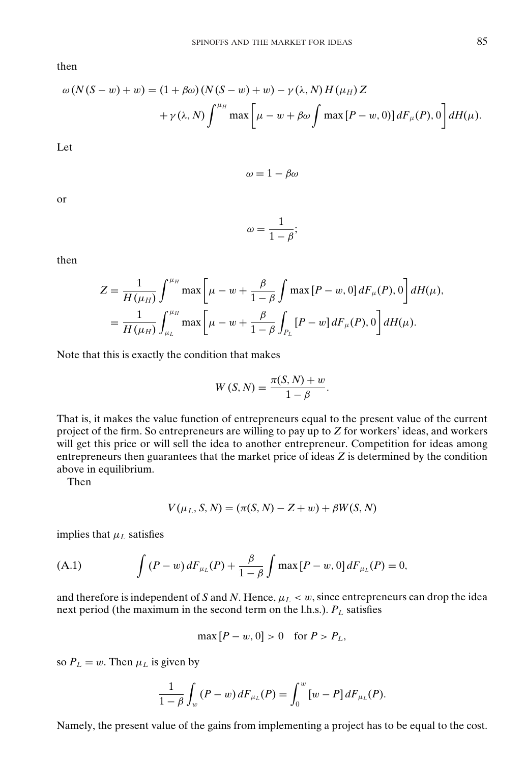then

$$
\omega(N(S - w) + w) = (1 + \beta\omega)(N(S - w) + w) - \gamma(\lambda, N)H(\mu_H)Z
$$
  
+  $\gamma(\lambda, N)\int^{\mu_H} \max[\mu - w + \beta\omega \int \max[P - w, 0]]dF_{\mu}(P), 0]dH(\mu).$ 

 $\omega = 1 - \beta \omega$ 

 $\omega = \frac{1}{1-\beta};$ 

Let

or

then

$$
Z = \frac{1}{H(\mu_H)} \int_{\mu_L}^{\mu_H} \max \left[ \mu - w + \frac{\beta}{1 - \beta} \int \max [P - w, 0] dF_{\mu}(P), 0 \right] dH(\mu),
$$
  
= 
$$
\frac{1}{H(\mu_H)} \int_{\mu_L}^{\mu_H} \max \left[ \mu - w + \frac{\beta}{1 - \beta} \int_{P_L} [P - w] dF_{\mu}(P), 0 \right] dH(\mu).
$$

Note that this is exactly the condition that makes

$$
W(S, N) = \frac{\pi(S, N) + w}{1 - \beta}.
$$

That is, it makes the value function of entrepreneurs equal to the present value of the current project of the firm. So entrepreneurs are willing to pay up to *Z* for workers' ideas, and workers will get this price or will sell the idea to another entrepreneur. Competition for ideas among entrepreneurs then guarantees that the market price of ideas *Z* is determined by the condition above in equilibrium.

Then

$$
V(\mu_L, S, N) = (\pi(S, N) - Z + w) + \beta W(S, N)
$$

implies that  $\mu_L$  satisfies

(A.1) 
$$
\int (P - w) dF_{\mu_L}(P) + \frac{\beta}{1 - \beta} \int \max [P - w, 0] dF_{\mu_L}(P) = 0,
$$

and therefore is independent of *S* and *N*. Hence,  $\mu_L < w$ , since entrepreneurs can drop the idea next period (the maximum in the second term on the l.h.s.). *PL* satisfies

$$
\max [P - w, 0] > 0 \quad \text{for } P > P_L,
$$

so  $P_L = w$ . Then  $\mu_L$  is given by

$$
\frac{1}{1-\beta}\int_w (P-w)\,dF_{\mu_L}(P)=\int_0^w [w-P]\,dF_{\mu_L}(P).
$$

Namely, the present value of the gains from implementing a project has to be equal to the cost.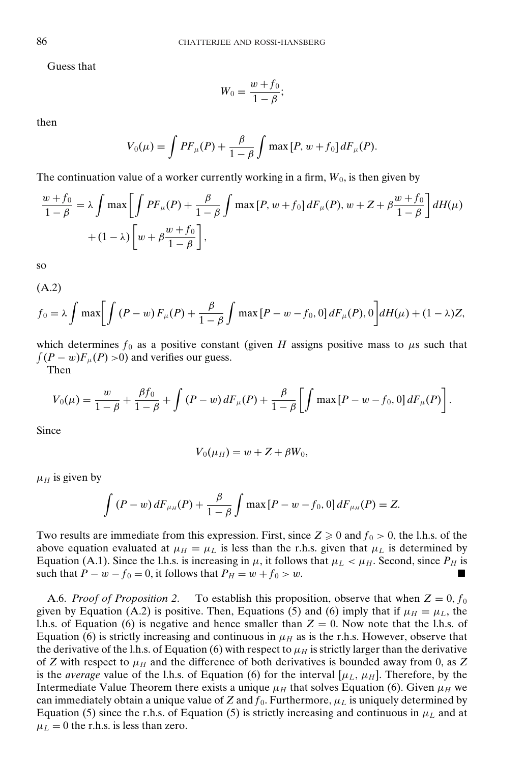Guess that

$$
W_0 = \frac{w + f_0}{1 - \beta};
$$

then

$$
V_0(\mu) = \int PF_{\mu}(P) + \frac{\beta}{1-\beta} \int \max [P, w + f_0] dF_{\mu}(P).
$$

The continuation value of a worker currently working in a firm,  $W_0$ , is then given by

$$
\frac{w+f_0}{1-\beta} = \lambda \int \max \left[ \int PF_\mu(P) + \frac{\beta}{1-\beta} \int \max [P, w+f_0] dF_\mu(P), w + Z + \beta \frac{w+f_0}{1-\beta} \right] dH(\mu)
$$

$$
+ (1-\lambda) \left[ w + \beta \frac{w+f_0}{1-\beta} \right],
$$

so

(A.2)

$$
f_0 = \lambda \int \max \biggl[ \int (P - w) F_{\mu}(P) + \frac{\beta}{1 - \beta} \int \max [P - w - f_0, 0] dF_{\mu}(P), 0 \biggr] dH(\mu) + (1 - \lambda) Z,
$$

which determines  $f_0$  as a positive constant (given *H* assigns positive mass to  $\mu$ s such that  $\int (P - w) F_{\mu}(P) > 0$ ) and verifies our guess. Then

$$
V_0(\mu) = \frac{w}{1-\beta} + \frac{\beta f_0}{1-\beta} + \int (P - w) dF_{\mu}(P) + \frac{\beta}{1-\beta} \left[ \int \max [P - w - f_0, 0] dF_{\mu}(P) \right].
$$

Since

$$
V_0(\mu_H) = w + Z + \beta W_0,
$$

 $\mu_H$  is given by

$$
\int (P - w) dF_{\mu_H}(P) + \frac{\beta}{1 - \beta} \int \max [P - w - f_0, 0] dF_{\mu_H}(P) = Z.
$$

Two results are immediate from this expression. First, since  $Z \geqslant 0$  and  $f_0 > 0$ , the l.h.s. of the above equation evaluated at  $\mu_H = \mu_L$  is less than the r.h.s. given that  $\mu_L$  is determined by Equation (A.1). Since the l.h.s. is increasing in  $\mu$ , it follows that  $\mu_L < \mu_H$ . Second, since  $P_H$  is such that  $P - w - f_0 = 0$ , it follows that  $P_H = w + f_0 > w$ .

A.6. *Proof of Proposition 2*. To establish this proposition, observe that when  $Z = 0, f_0$ given by Equation (A.2) is positive. Then, Equations (5) and (6) imply that if  $\mu_H = \mu_L$ , the l.h.s. of Equation (6) is negative and hence smaller than  $Z = 0$ . Now note that the l.h.s. of Equation (6) is strictly increasing and continuous in  $\mu$ <sup> $\mu$ </sup> as is the r.h.s. However, observe that the derivative of the l.h.s. of Equation (6) with respect to  $\mu_H$  is strictly larger than the derivative of *Z* with respect to  $\mu$ <sub>H</sub> and the difference of both derivatives is bounded away from 0, as *Z* is the *average* value of the l.h.s. of Equation (6) for the interval  $[\mu_L, \mu_H]$ . Therefore, by the Intermediate Value Theorem there exists a unique  $\mu_H$  that solves Equation (6). Given  $\mu_H$  we can immediately obtain a unique value of *Z* and  $f_0$ . Furthermore,  $\mu_L$  is uniquely determined by Equation (5) since the r.h.s. of Equation (5) is strictly increasing and continuous in  $\mu_L$  and at  $\mu_L = 0$  the r.h.s. is less than zero.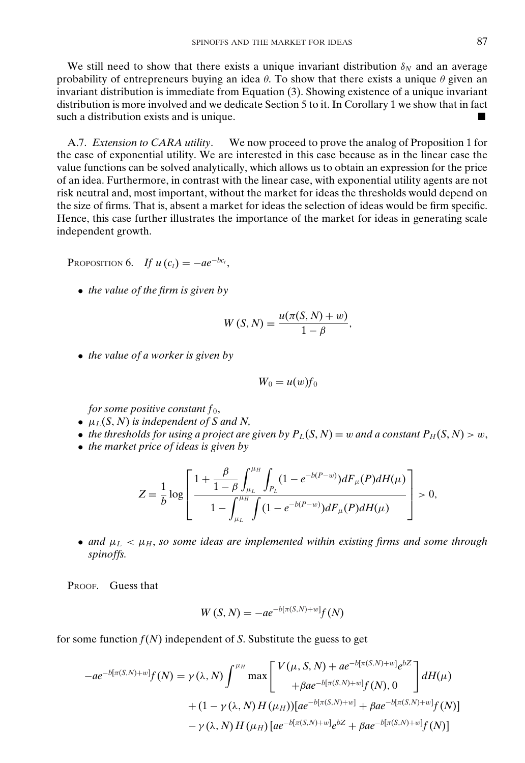We still need to show that there exists a unique invariant distribution  $\delta_N$  and an average probability of entrepreneurs buying an idea  $\theta$ . To show that there exists a unique  $\theta$  given an invariant distribution is immediate from Equation (3). Showing existence of a unique invariant distribution is more involved and we dedicate Section 5 to it. In Corollary 1 we show that in fact such a distribution exists and is unique.

A.7. *Extension to CARA utility*. We now proceed to prove the analog of Proposition 1 for the case of exponential utility. We are interested in this case because as in the linear case the value functions can be solved analytically, which allows us to obtain an expression for the price of an idea. Furthermore, in contrast with the linear case, with exponential utility agents are not risk neutral and, most important, without the market for ideas the thresholds would depend on the size of firms. That is, absent a market for ideas the selection of ideas would be firm specific. Hence, this case further illustrates the importance of the market for ideas in generating scale independent growth.

PROPOSITION 6. *If*  $u(c_t) = -ae^{-bc_t}$ ,

• *the value of the firm is given by*

$$
W(S, N) = \frac{u(\pi(S, N) + w)}{1 - \beta},
$$

• *the value of a worker is given by*

$$
W_0 = u(w)f_0
$$

*for some positive constant*  $f_0$ ,

- $\mu_L(S, N)$  *is independent of S and N,*
- the thresholds for using a project are given by  $P_L(S, N) = w$  and a constant  $P_H(S, N) > w$ ,
- *the market price of ideas is given by*

$$
Z = \frac{1}{b} \log \left[ \frac{1 + \frac{\beta}{1 - \beta} \int_{\mu_L}^{\mu_H} \int_{P_L} (1 - e^{-b(P - w)}) dF_{\mu}(P) dH(\mu)}{1 - \int_{\mu_L}^{\mu_H} \int (1 - e^{-b(P - w)}) dF_{\mu}(P) dH(\mu)} \right] > 0,
$$

• and  $\mu_L$  <  $\mu_H$ , so some ideas are implemented within existing firms and some through *spinoffs.*

PROOF. Guess that

$$
W(S, N) = -ae^{-b[\pi(S, N)+w]}f(N)
$$

for some function  $f(N)$  independent of *S*. Substitute the guess to get

$$
-ae^{-b[\pi(S,N)+w]}f(N) = \gamma(\lambda, N) \int^{\mu_H} \max \begin{bmatrix} V(\mu, S, N) + ae^{-b[\pi(S,N)+w]}e^{bZ} \\ + \beta ae^{-b[\pi(S,N)+w]}f(N), 0 \end{bmatrix} dH(\mu) + (1 - \gamma(\lambda, N)H(\mu_H))[ae^{-b[\pi(S,N)+w]} + \beta ae^{-b[\pi(S,N)+w]}f(N)] - \gamma(\lambda, N)H(\mu_H)[ae^{-b[\pi(S,N)+w]}e^{bZ} + \beta ae^{-b[\pi(S,N)+w]}f(N)]
$$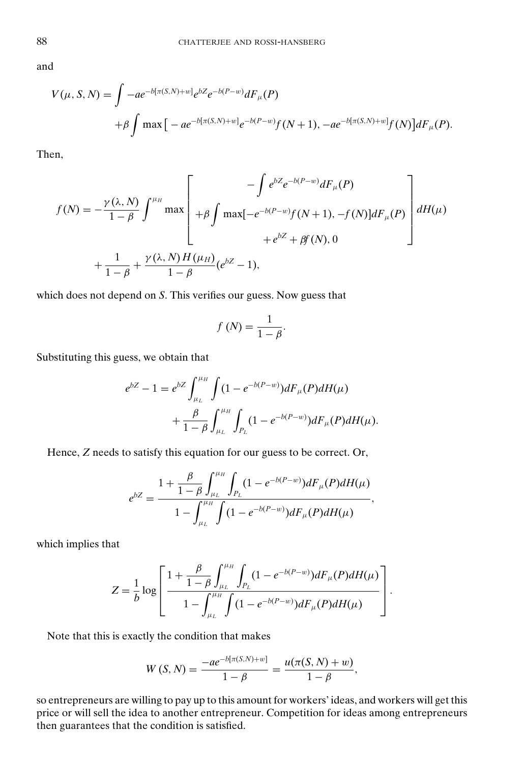and

$$
V(\mu, S, N) = \int -ae^{-b[\pi(S, N)+w]}e^{bZ}e^{-b(P-w)}dF_{\mu}(P)
$$
  
+  $\beta \int \max \left[ -ae^{-b[\pi(S, N)+w]}e^{-b(P-w)}f(N+1), -ae^{-b[\pi(S, N)+w]}f(N) \right]dF_{\mu}(P).$ 

Then,

$$
f(N) = -\frac{\gamma(\lambda, N)}{1 - \beta} \int^{\mu_H} \max \left[ \begin{array}{c} -\int e^{bZ} e^{-b(P-w)} dF_{\mu}(P) \\ + \beta \int \max[-e^{-b(P-w)} f(N+1), -f(N)] dF_{\mu}(P) \\ + e^{bZ} + \beta f(N), 0 \end{array} \right] dH(\mu)
$$

$$
+ \frac{1}{1 - \beta} + \frac{\gamma(\lambda, N) H(\mu_H)}{1 - \beta} (e^{bZ} - 1),
$$

which does not depend on *S*. This verifies our guess. Now guess that

$$
f\left(N\right) = \frac{1}{1-\beta}.
$$

Substituting this guess, we obtain that

$$
e^{bZ} - 1 = e^{bZ} \int_{\mu_L}^{\mu_H} \int (1 - e^{-b(P-w)}) dF_{\mu}(P) dH(\mu)
$$
  
+ 
$$
\frac{\beta}{1 - \beta} \int_{\mu_L}^{\mu_H} \int_{P_L} (1 - e^{-b(P-w)}) dF_{\mu}(P) dH(\mu).
$$

Hence, *Z* needs to satisfy this equation for our guess to be correct. Or,

$$
e^{bZ} = \frac{1 + \frac{\beta}{1 - \beta} \int_{\mu_L}^{\mu_H} \int_{P_L} (1 - e^{-b(P - w)}) dF_{\mu}(P) dH(\mu)}{1 - \int_{\mu_L}^{\mu_H} \int (1 - e^{-b(P - w)}) dF_{\mu}(P) dH(\mu)},
$$

which implies that

$$
Z = \frac{1}{b} \log \left[ \frac{1 + \frac{\beta}{1 - \beta} \int_{\mu_L}^{\mu_H} \int_{P_L} (1 - e^{-b(P - w)}) dF_{\mu}(P) dH(\mu)}{1 - \int_{\mu_L}^{\mu_H} \int (1 - e^{-b(P - w)}) dF_{\mu}(P) dH(\mu)} \right].
$$

Note that this is exactly the condition that makes

$$
W(S, N) = \frac{-ae^{-b[\pi(S, N)+w]}}{1-\beta} = \frac{u(\pi(S, N)+w)}{1-\beta},
$$

so entrepreneurs are willing to pay up to this amount for workers' ideas, and workers will get this price or will sell the idea to another entrepreneur. Competition for ideas among entrepreneurs then guarantees that the condition is satisfied.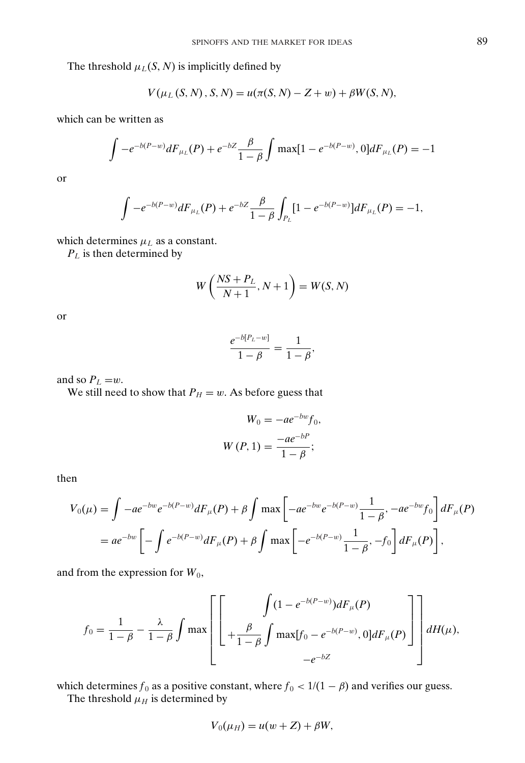The threshold  $\mu_L(S, N)$  is implicitly defined by

$$
V(\mu_L(S, N), S, N) = u(\pi(S, N) - Z + w) + \beta W(S, N),
$$

which can be written as

$$
\int -e^{-b(P-w)}dF_{\mu_L}(P) + e^{-bZ}\frac{\beta}{1-\beta}\int \max[1 - e^{-b(P-w)}, 0]dF_{\mu_L}(P) = -1
$$

or

$$
\int -e^{-b(P-w)}dF_{\mu_L}(P) + e^{-bZ}\frac{\beta}{1-\beta}\int_{P_L} [1-e^{-b(P-w)}]dF_{\mu_L}(P) = -1,
$$

which determines  $\mu_L$  as a constant.

*PL* is then determined by

$$
W\left(\frac{NS+P_L}{N+1}, N+1\right) = W(S, N)
$$

or

$$
\frac{e^{-b[P_L-w]}}{1-\beta} = \frac{1}{1-\beta},
$$

and so  $P_L = w$ .

We still need to show that  $P_H = w$ . As before guess that

$$
W_0 = -ae^{-bw}f_0,
$$
  

$$
W(P, 1) = \frac{-ae^{-bP}}{1 - \beta};
$$

then

$$
V_0(\mu) = \int -ae^{-bw}e^{-b(P-w)}dF_{\mu}(P) + \beta \int \max \left[ -ae^{-bw}e^{-b(P-w)} \frac{1}{1-\beta}, -ae^{-bw}f_0 \right] dF_{\mu}(P)
$$
  
=  $ae^{-bw} \left[ -\int e^{-b(P-w)}dF_{\mu}(P) + \beta \int \max \left[ -e^{-b(P-w)} \frac{1}{1-\beta}, -f_0 \right] dF_{\mu}(P) \right],$ 

and from the expression for  $W_0$ ,

$$
f_0 = \frac{1}{1-\beta} - \frac{\lambda}{1-\beta} \int \max \left[ \left[ \frac{\int (1-e^{-b(P-w)})dF_{\mu}(P)}{\frac{\beta}{1-\beta} \int \max[f_0 - e^{-b(P-w)}, 0]dF_{\mu}(P)} \right] \right] dH(\mu),
$$
  

$$
-e^{-bZ}
$$

which determines  $f_0$  as a positive constant, where  $f_0 < 1/(1 - \beta)$  and verifies our guess.

The threshold  $\mu$ <sup>H</sup> is determined by

$$
V_0(\mu_H) = u(w + Z) + \beta W,
$$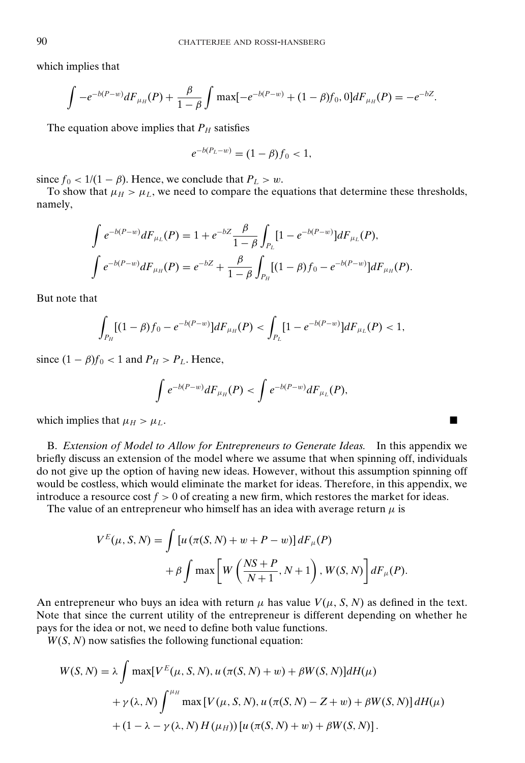which implies that

$$
\int -e^{-b(P-w)}dF_{\mu_H}(P) + \frac{\beta}{1-\beta}\int \max[-e^{-b(P-w)} + (1-\beta)f_0, 0]dF_{\mu_H}(P) = -e^{-bZ}.
$$

The equation above implies that  $P_H$  satisfies

$$
e^{-b(P_L - w)} = (1 - \beta)f_0 < 1,
$$

since  $f_0$  < 1/(1 –  $\beta$ ). Hence, we conclude that  $P_L > w$ .

To show that  $\mu_H > \mu_L$ , we need to compare the equations that determine these thresholds, namely,

$$
\int e^{-b(P-w)} dF_{\mu_L}(P) = 1 + e^{-bZ} \frac{\beta}{1-\beta} \int_{P_L} [1 - e^{-b(P-w)}] dF_{\mu_L}(P),
$$
  

$$
\int e^{-b(P-w)} dF_{\mu_H}(P) = e^{-bZ} + \frac{\beta}{1-\beta} \int_{P_H} [(1-\beta) f_0 - e^{-b(P-w)}] dF_{\mu_H}(P).
$$

But note that

$$
\int_{P_H} [(1-\beta)f_0 - e^{-b(P-w)}] dF_{\mu_H}(P) < \int_{P_L} [1 - e^{-b(P-w)}] dF_{\mu_L}(P) < 1,
$$

since  $(1 - \beta)f_0 < 1$  and  $P_H > P_L$ . Hence,

$$
\int e^{-b(P-w)}dF_{\mu_H}(P)<\int e^{-b(P-w)}dF_{\mu_L}(P),
$$

which implies that  $\mu_H > \mu_L$ .

B. *Extension of Model to Allow for Entrepreneurs to Generate Ideas.* In this appendix we briefly discuss an extension of the model where we assume that when spinning off, individuals do not give up the option of having new ideas. However, without this assumption spinning off would be costless, which would eliminate the market for ideas. Therefore, in this appendix, we introduce a resource cost  $f > 0$  of creating a new firm, which restores the market for ideas.

The value of an entrepreneur who himself has an idea with average return  $\mu$  is

$$
V^{E}(\mu, S, N) = \int \left[ u \left( \pi(S, N) + w + P - w \right) \right] dF_{\mu}(P)
$$

$$
+ \beta \int \max \left[ W \left( \frac{NS + P}{N + 1}, N + 1 \right), W(S, N) \right] dF_{\mu}(P).
$$

An entrepreneur who buys an idea with return  $\mu$  has value  $V(\mu, S, N)$  as defined in the text. Note that since the current utility of the entrepreneur is different depending on whether he pays for the idea or not, we need to define both value functions.

*W*(*S*, *N*) now satisfies the following functional equation:

$$
W(S, N) = \lambda \int \max[V^{E}(\mu, S, N), u(\pi(S, N) + w) + \beta W(S, N)]dH(\mu)
$$
  
+  $\gamma(\lambda, N) \int^{\mu_H} \max[V(\mu, S, N), u(\pi(S, N) - Z + w) + \beta W(S, N)]dH(\mu)$   
+  $(1 - \lambda - \gamma(\lambda, N)H(\mu_H))[u(\pi(S, N) + w) + \beta W(S, N)].$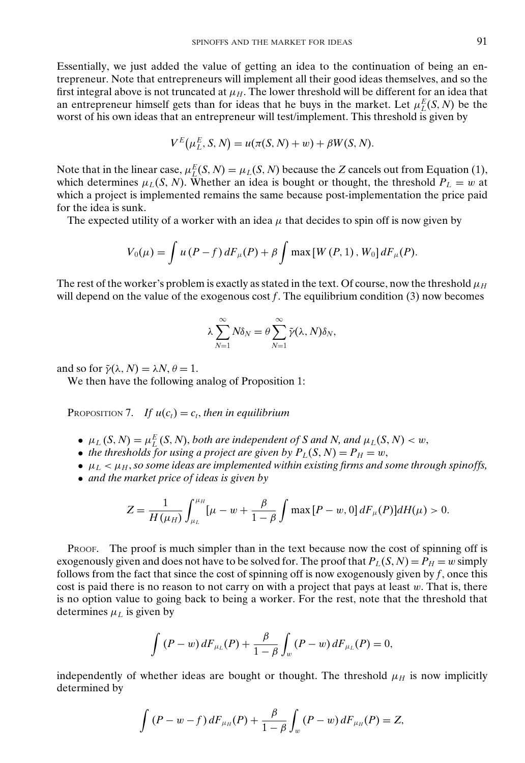Essentially, we just added the value of getting an idea to the continuation of being an entrepreneur. Note that entrepreneurs will implement all their good ideas themselves, and so the first integral above is not truncated at  $\mu_H$ . The lower threshold will be different for an idea that an entrepreneur himself gets than for ideas that he buys in the market. Let  $\mu_L^E(S, N)$  be the worst of his own ideas that an entrepreneur will test/implement. This threshold is given by

$$
V^{E}(\mu_{L}^{E}, S, N) = u(\pi(S, N) + w) + \beta W(S, N).
$$

Note that in the linear case,  $\mu_L^E(S, N) = \mu_L(S, N)$  because the *Z* cancels out from Equation (1), which determines  $\mu_L(S, N)$ . Whether an idea is bought or thought, the threshold  $P_L = w$  at which a project is implemented remains the same because post-implementation the price paid for the idea is sunk.

The expected utility of a worker with an idea  $\mu$  that decides to spin off is now given by

$$
V_0(\mu) = \int u(P - f) dF_{\mu}(P) + \beta \int \max [W(P, 1), W_0] dF_{\mu}(P).
$$

The rest of the worker's problem is exactly as stated in the text. Of course, now the threshold  $\mu_H$ will depend on the value of the exogenous cost *f*. The equilibrium condition (3) now becomes

$$
\lambda \sum_{N=1}^{\infty} N \delta_N = \theta \sum_{N=1}^{\infty} \tilde{\gamma}(\lambda, N) \delta_N,
$$

and so for  $\tilde{\gamma}(\lambda, N) = \lambda N$ ,  $\theta = 1$ .

We then have the following analog of Proposition 1:

PROPOSITION 7. *If*  $u(c_t) = c_t$ , then in equilibrium

- $\mu_L(S, N) = \mu_L^E(S, N)$ , both are independent of S and N, and  $\mu_L(S, N) < w$ ,
- *the thresholds for using a project are given by*  $P_L(S, N) = P_H = w$ *,*
- $\mu_L < \mu_H$ , so some ideas are implemented within existing firms and some through spinoffs,
- *and the market price of ideas is given by*

$$
Z = \frac{1}{H(\mu_H)} \int_{\mu_L}^{\mu_H} [\mu - w + \frac{\beta}{1 - \beta} \int \max [P - w, 0] dF_{\mu}(P)] dH(\mu) > 0.
$$

Proof. The proof is much simpler than in the text because now the cost of spinning off is exogenously given and does not have to be solved for. The proof that  $P_L(S, N) = P_H = w$  simply follows from the fact that since the cost of spinning off is now exogenously given by  $f$ , once this cost is paid there is no reason to not carry on with a project that pays at least w. That is, there is no option value to going back to being a worker. For the rest, note that the threshold that determines  $\mu_L$  is given by

$$
\int (P - w) dF_{\mu_L}(P) + \frac{\beta}{1 - \beta} \int_w (P - w) dF_{\mu_L}(P) = 0,
$$

independently of whether ideas are bought or thought. The threshold  $\mu$ <sup>H</sup> is now implicitly determined by

$$
\int (P - w - f) dF_{\mu_H}(P) + \frac{\beta}{1 - \beta} \int_w (P - w) dF_{\mu_H}(P) = Z,
$$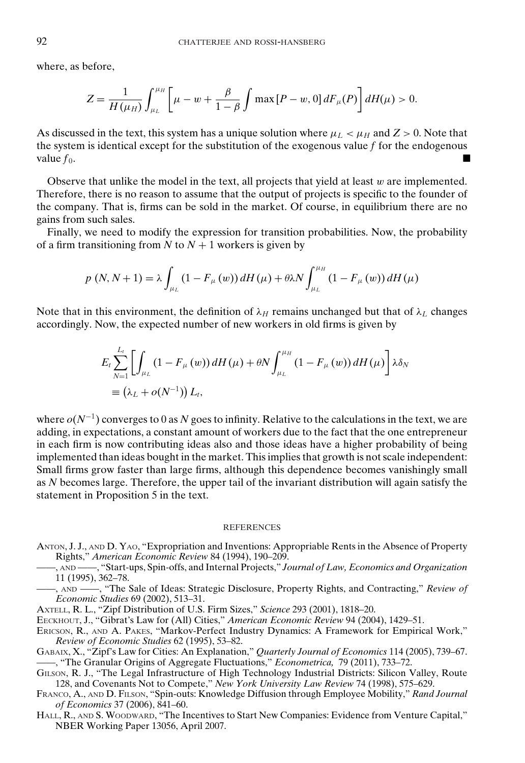where, as before,

$$
Z = \frac{1}{H(\mu_H)} \int_{\mu_L}^{\mu_H} \left[ \mu - w + \frac{\beta}{1 - \beta} \int \max [P - w, 0] dF_{\mu}(P) \right] dH(\mu) > 0.
$$

As discussed in the text, this system has a unique solution where  $\mu_L < \mu_H$  and  $Z > 0$ . Note that the system is identical except for the substitution of the exogenous value  $f$  for the endogenous value  $f_0$ .

Observe that unlike the model in the text, all projects that yield at least  $w$  are implemented. Therefore, there is no reason to assume that the output of projects is specific to the founder of the company. That is, firms can be sold in the market. Of course, in equilibrium there are no gains from such sales.

Finally, we need to modify the expression for transition probabilities. Now, the probability of a firm transitioning from *N* to  $N + 1$  workers is given by

$$
p (N, N+1) = \lambda \int_{\mu_L} (1 - F_{\mu}(w)) dH(\mu) + \theta \lambda N \int_{\mu_L}^{\mu_H} (1 - F_{\mu}(w)) dH(\mu)
$$

Note that in this environment, the definition of  $\lambda_H$  remains unchanged but that of  $\lambda_L$  changes accordingly. Now, the expected number of new workers in old firms is given by

$$
\begin{aligned} &E_t\sum_{N=1}^{L_t}\left[\int_{\mu_L}\left(1-F_{\mu}\left(w\right)\right)dH\left(\mu\right)+\theta N\int_{\mu_L}^{\mu_H}\left(1-F_{\mu}\left(w\right)\right)dH\left(\mu\right)\right]\lambda\delta_N\\ &\equiv\left(\lambda_L+o(N^{-1})\right)L_t,\end{aligned}
$$

where  $o(N^{-1})$  converges to 0 as N goes to infinity. Relative to the calculations in the text, we are adding, in expectations, a constant amount of workers due to the fact that the one entrepreneur in each firm is now contributing ideas also and those ideas have a higher probability of being implemented than ideas bought in the market. This implies that growth is not scale independent: Small firms grow faster than large firms, although this dependence becomes vanishingly small as *N* becomes large. Therefore, the upper tail of the invariant distribution will again satisfy the statement in Proposition 5 in the text.

#### **REFERENCES**

- ANTON, J. J., AND D. YAO, "Expropriation and Inventions: Appropriable Rents in the Absence of Property Rights," *American Economic Review* 84 (1994), 190–209.
	- ——, AND ——, "Start-ups, Spin-offs, and Internal Projects," *Journal of Law, Economics and Organization* 11 (1995), 362–78.
	- ——, AND ——, "The Sale of Ideas: Strategic Disclosure, Property Rights, and Contracting," *Review of Economic Studies* 69 (2002), 513–31.
- AXTELL, R. L., "Zipf Distribution of U.S. Firm Sizes," *Science* 293 (2001), 1818–20.
- EECKHOUT, J., "Gibrat's Law for (All) Cities," *American Economic Review* 94 (2004), 1429–51.
- ERICSON, R., AND A. PAKES, "Markov-Perfect Industry Dynamics: A Framework for Empirical Work," *Review of Economic Studies* 62 (1995), 53–82.
- GABAIX, X., "Zipf's Law for Cities: An Explanation," *Quarterly Journal of Economics* 114 (2005), 739–67. ——, "The Granular Origins of Aggregate Fluctuations," *Econometrica,* 79 (2011), 733–72.
- GILSON, R. J., "The Legal Infrastructure of High Technology Industrial Districts: Silicon Valley, Route 128, and Covenants Not to Compete," *New York University Law Review* 74 (1998), 575–629.
- FRANCO, A., AND D. FILSON, "Spin-outs: Knowledge Diffusion through Employee Mobility," *Rand Journal of Economics* 37 (2006), 841–60.
- HALL, R., AND S. WOODWARD, "The Incentives to Start New Companies: Evidence from Venture Capital," NBER Working Paper 13056, April 2007.